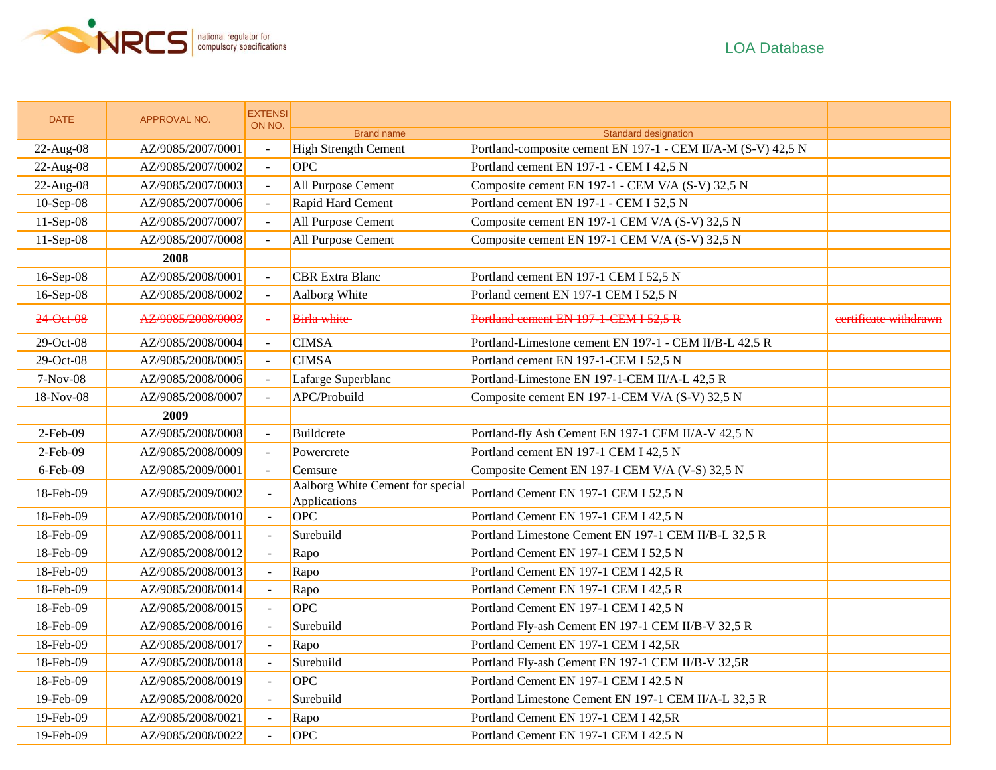

| <b>DATE</b> | APPROVAL NO.      | <b>EXTENSI</b><br>ON NO. |                                                  |                                                              |                       |
|-------------|-------------------|--------------------------|--------------------------------------------------|--------------------------------------------------------------|-----------------------|
|             |                   |                          | <b>Brand name</b>                                | Standard designation                                         |                       |
| 22-Aug-08   | AZ/9085/2007/0001 | $\mathbb{Z}^2$           | <b>High Strength Cement</b>                      | Portland-composite cement EN 197-1 - CEM II/A-M (S-V) 42,5 N |                       |
| 22-Aug-08   | AZ/9085/2007/0002 | $\omega$                 | <b>OPC</b>                                       | Portland cement EN 197-1 - CEM I 42,5 N                      |                       |
| 22-Aug-08   | AZ/9085/2007/0003 | $\equiv$                 | All Purpose Cement                               | Composite cement EN 197-1 - CEM V/A (S-V) 32,5 N             |                       |
| 10-Sep-08   | AZ/9085/2007/0006 |                          | Rapid Hard Cement                                | Portland cement EN 197-1 - CEM I 52,5 N                      |                       |
| $11-Sep-08$ | AZ/9085/2007/0007 | $\mathbf{r}$             | All Purpose Cement                               | Composite cement EN 197-1 CEM V/A (S-V) 32,5 N               |                       |
| $11-Sep-08$ | AZ/9085/2007/0008 |                          | All Purpose Cement                               | Composite cement EN 197-1 CEM V/A (S-V) 32,5 N               |                       |
|             | 2008              |                          |                                                  |                                                              |                       |
| 16-Sep-08   | AZ/9085/2008/0001 | $\equiv$                 | <b>CBR</b> Extra Blanc                           | Portland cement EN 197-1 CEM I 52,5 N                        |                       |
| 16-Sep-08   | AZ/9085/2008/0002 | $\equiv$                 | Aalborg White                                    | Porland cement EN 197-1 CEM I 52,5 N                         |                       |
| 24-Oet-08   | AZ/9085/2008/0003 | $\omega$                 | <b>Birla white</b>                               | Portland cement EN 197-1-CEM I 52,5 R                        | eertificate withdrawn |
| 29-Oct-08   | AZ/9085/2008/0004 | $\sim$                   | <b>CIMSA</b>                                     | Portland-Limestone cement EN 197-1 - CEM II/B-L 42,5 R       |                       |
| 29-Oct-08   | AZ/9085/2008/0005 |                          | <b>CIMSA</b>                                     | Portland cement EN 197-1-CEM I 52,5 N                        |                       |
| 7-Nov-08    | AZ/9085/2008/0006 |                          | Lafarge Superblanc                               | Portland-Limestone EN 197-1-CEM II/A-L 42,5 R                |                       |
| 18-Nov-08   | AZ/9085/2008/0007 | $\sim$                   | APC/Probuild                                     | Composite cement EN 197-1-CEM V/A (S-V) 32,5 N               |                       |
|             | 2009              |                          |                                                  |                                                              |                       |
| $2-Feb-09$  | AZ/9085/2008/0008 | $\Box$                   | Buildcrete                                       | Portland-fly Ash Cement EN 197-1 CEM II/A-V 42,5 N           |                       |
| $2$ -Feb-09 | AZ/9085/2008/0009 | $\mathbf{r}$             | Powercrete                                       | Portland cement EN 197-1 CEM I 42,5 N                        |                       |
| $6$ -Feb-09 | AZ/9085/2009/0001 | $\mathbf{r}$             | Cemsure                                          | Composite Cement EN 197-1 CEM V/A (V-S) 32,5 N               |                       |
| 18-Feb-09   | AZ/9085/2009/0002 | $\mathbb{L}$             | Aalborg White Cement for special<br>Applications | Portland Cement EN 197-1 CEM I 52,5 N                        |                       |
| 18-Feb-09   | AZ/9085/2008/0010 | $\omega$                 | OPC                                              | Portland Cement EN 197-1 CEM I 42,5 N                        |                       |
| 18-Feb-09   | AZ/9085/2008/0011 | $\omega$                 | Surebuild                                        | Portland Limestone Cement EN 197-1 CEM II/B-L 32,5 R         |                       |
| 18-Feb-09   | AZ/9085/2008/0012 | $\mathbb{L}$             | Rapo                                             | Portland Cement EN 197-1 CEM I 52,5 N                        |                       |
| 18-Feb-09   | AZ/9085/2008/0013 | $\omega$                 | Rapo                                             | Portland Cement EN 197-1 CEM I 42,5 R                        |                       |
| 18-Feb-09   | AZ/9085/2008/0014 | $\omega$                 | Rapo                                             | Portland Cement EN 197-1 CEM I 42,5 R                        |                       |
| 18-Feb-09   | AZ/9085/2008/0015 | $\omega$                 | OPC                                              | Portland Cement EN 197-1 CEM I 42,5 N                        |                       |
| 18-Feb-09   | AZ/9085/2008/0016 | $\mathbb{L}$             | Surebuild                                        | Portland Fly-ash Cement EN 197-1 CEM II/B-V 32,5 R           |                       |
| 18-Feb-09   | AZ/9085/2008/0017 | $\blacksquare$           | Rapo                                             | Portland Cement EN 197-1 CEM I 42,5R                         |                       |
| 18-Feb-09   | AZ/9085/2008/0018 | $\mathbb{L}^2$           | Surebuild                                        | Portland Fly-ash Cement EN 197-1 CEM II/B-V 32,5R            |                       |
| 18-Feb-09   | AZ/9085/2008/0019 | $\blacksquare$           | OPC                                              | Portland Cement EN 197-1 CEM I 42.5 N                        |                       |
| 19-Feb-09   | AZ/9085/2008/0020 | $\mathbb{L}$             | Surebuild                                        | Portland Limestone Cement EN 197-1 CEM II/A-L 32,5 R         |                       |
| 19-Feb-09   | AZ/9085/2008/0021 | $\omega$                 | Rapo                                             | Portland Cement EN 197-1 CEM I 42,5R                         |                       |
| 19-Feb-09   | AZ/9085/2008/0022 | $\overline{a}$           | OPC                                              | Portland Cement EN 197-1 CEM I 42.5 N                        |                       |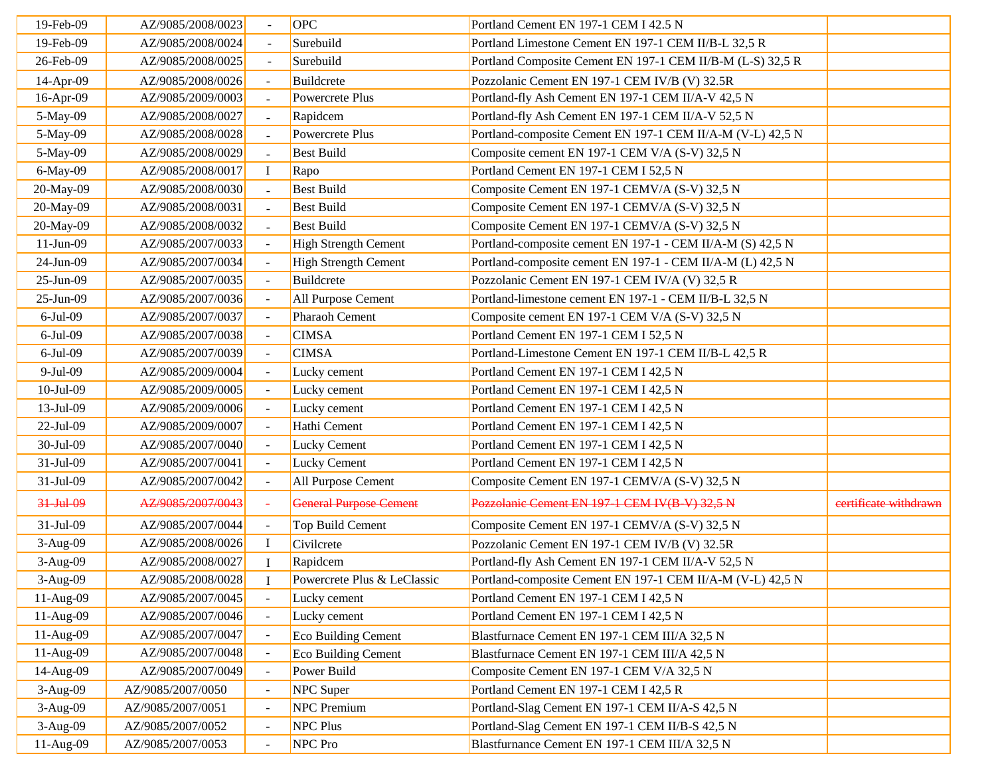| 19-Feb-09      | AZ/9085/2008/0023 |                | OPC                           | Portland Cement EN 197-1 CEM I 42.5 N                      |                       |
|----------------|-------------------|----------------|-------------------------------|------------------------------------------------------------|-----------------------|
| 19-Feb-09      | AZ/9085/2008/0024 |                | Surebuild                     | Portland Limestone Cement EN 197-1 CEM II/B-L 32,5 R       |                       |
| 26-Feb-09      | AZ/9085/2008/0025 | $\overline{a}$ | Surebuild                     | Portland Composite Cement EN 197-1 CEM II/B-M (L-S) 32,5 R |                       |
| 14-Apr-09      | AZ/9085/2008/0026 |                | Buildcrete                    | Pozzolanic Cement EN 197-1 CEM IV/B (V) 32.5R              |                       |
| 16-Apr-09      | AZ/9085/2009/0003 | $\sim$         | Powercrete Plus               | Portland-fly Ash Cement EN 197-1 CEM II/A-V 42,5 N         |                       |
| 5-May-09       | AZ/9085/2008/0027 |                | Rapidcem                      | Portland-fly Ash Cement EN 197-1 CEM II/A-V 52,5 N         |                       |
| 5-May-09       | AZ/9085/2008/0028 |                | Powercrete Plus               | Portland-composite Cement EN 197-1 CEM II/A-M (V-L) 42,5 N |                       |
| 5-May-09       | AZ/9085/2008/0029 |                | <b>Best Build</b>             | Composite cement EN 197-1 CEM V/A (S-V) 32,5 N             |                       |
| 6-May-09       | AZ/9085/2008/0017 | $\bf I$        | Rapo                          | Portland Cement EN 197-1 CEM I 52,5 N                      |                       |
| 20-May-09      | AZ/9085/2008/0030 |                | <b>Best Build</b>             | Composite Cement EN 197-1 CEMV/A (S-V) 32,5 N              |                       |
| 20-May-09      | AZ/9085/2008/0031 |                | <b>Best Build</b>             | Composite Cement EN 197-1 CEMV/A (S-V) 32,5 N              |                       |
| 20-May-09      | AZ/9085/2008/0032 |                | <b>Best Build</b>             | Composite Cement EN 197-1 CEMV/A (S-V) 32,5 N              |                       |
| $11-Jun-09$    | AZ/9085/2007/0033 | $\sim$         | <b>High Strength Cement</b>   | Portland-composite cement EN 197-1 - CEM II/A-M (S) 42,5 N |                       |
| 24-Jun-09      | AZ/9085/2007/0034 |                | <b>High Strength Cement</b>   | Portland-composite cement EN 197-1 - CEM II/A-M (L) 42,5 N |                       |
| $25-Jun-09$    | AZ/9085/2007/0035 |                | Buildcrete                    | Pozzolanic Cement EN 197-1 CEM IV/A (V) 32,5 R             |                       |
| 25-Jun-09      | AZ/9085/2007/0036 |                | All Purpose Cement            | Portland-limestone cement EN 197-1 - CEM II/B-L 32,5 N     |                       |
| $6-Jul-09$     | AZ/9085/2007/0037 |                | Pharaoh Cement                | Composite cement EN 197-1 CEM V/A (S-V) 32,5 N             |                       |
| $6$ -Jul $-09$ | AZ/9085/2007/0038 |                | <b>CIMSA</b>                  | Portland Cement EN 197-1 CEM I 52,5 N                      |                       |
| $6$ -Jul $-09$ | AZ/9085/2007/0039 |                | <b>CIMSA</b>                  | Portland-Limestone Cement EN 197-1 CEM II/B-L 42,5 R       |                       |
| 9-Jul-09       | AZ/9085/2009/0004 |                | Lucky cement                  | Portland Cement EN 197-1 CEM I 42,5 N                      |                       |
| 10-Jul-09      | AZ/9085/2009/0005 |                | Lucky cement                  | Portland Cement EN 197-1 CEM I 42,5 N                      |                       |
| 13-Jul-09      | AZ/9085/2009/0006 |                | Lucky cement                  | Portland Cement EN 197-1 CEM I 42,5 N                      |                       |
| 22-Jul-09      | AZ/9085/2009/0007 | $\sim$         | Hathi Cement                  | Portland Cement EN 197-1 CEM I 42,5 N                      |                       |
| 30-Jul-09      | AZ/9085/2007/0040 |                | <b>Lucky Cement</b>           | Portland Cement EN 197-1 CEM I 42,5 N                      |                       |
| 31-Jul-09      | AZ/9085/2007/0041 |                | <b>Lucky Cement</b>           | Portland Cement EN 197-1 CEM I 42,5 N                      |                       |
| 31-Jul-09      | AZ/9085/2007/0042 |                | All Purpose Cement            | Composite Cement EN 197-1 CEMV/A (S-V) 32,5 N              |                       |
| 31-Jul-09      | AZ/9085/2007/0043 |                | <b>General Purpose Cement</b> | Pozzolanic Cement EN 197-1 CEM IV(B-V) 32,5 N              | certificate withdrawn |
| 31-Jul-09      | AZ/9085/2007/0044 |                | Top Build Cement              | Composite Cement EN 197-1 CEMV/A (S-V) 32,5 N              |                       |
| 3-Aug-09       | AZ/9085/2008/0026 | L              | Civilcrete                    | Pozzolanic Cement EN 197-1 CEM IV/B (V) 32.5R              |                       |
| 3-Aug-09       | AZ/9085/2008/0027 | Ι.             | Rapidcem                      | Portland-fly Ash Cement EN 197-1 CEM II/A-V 52,5 N         |                       |
| $3-Aug-09$     | AZ/9085/2008/0028 |                | Powercrete Plus & LeClassic   | Portland-composite Cement EN 197-1 CEM II/A-M (V-L) 42,5 N |                       |
| 11-Aug-09      | AZ/9085/2007/0045 |                | Lucky cement                  | Portland Cement EN 197-1 CEM I 42,5 N                      |                       |
| 11-Aug-09      | AZ/9085/2007/0046 |                | Lucky cement                  | Portland Cement EN 197-1 CEM I 42,5 N                      |                       |
| 11-Aug-09      | AZ/9085/2007/0047 |                | Eco Building Cement           | Blastfurnace Cement EN 197-1 CEM III/A 32,5 N              |                       |
| 11-Aug-09      | AZ/9085/2007/0048 |                | Eco Building Cement           | Blastfurnace Cement EN 197-1 CEM III/A 42,5 N              |                       |
| 14-Aug-09      | AZ/9085/2007/0049 |                | Power Build                   | Composite Cement EN 197-1 CEM V/A 32,5 N                   |                       |
| $3-Aug-09$     | AZ/9085/2007/0050 |                | NPC Super                     | Portland Cement EN 197-1 CEM I 42,5 R                      |                       |
| 3-Aug-09       | AZ/9085/2007/0051 |                | <b>NPC</b> Premium            | Portland-Slag Cement EN 197-1 CEM II/A-S 42,5 N            |                       |
| $3-Aug-09$     | AZ/9085/2007/0052 |                | <b>NPC Plus</b>               | Portland-Slag Cement EN 197-1 CEM II/B-S 42,5 N            |                       |
| 11-Aug-09      | AZ/9085/2007/0053 |                | NPC Pro                       | Blastfurnance Cement EN 197-1 CEM III/A 32,5 N             |                       |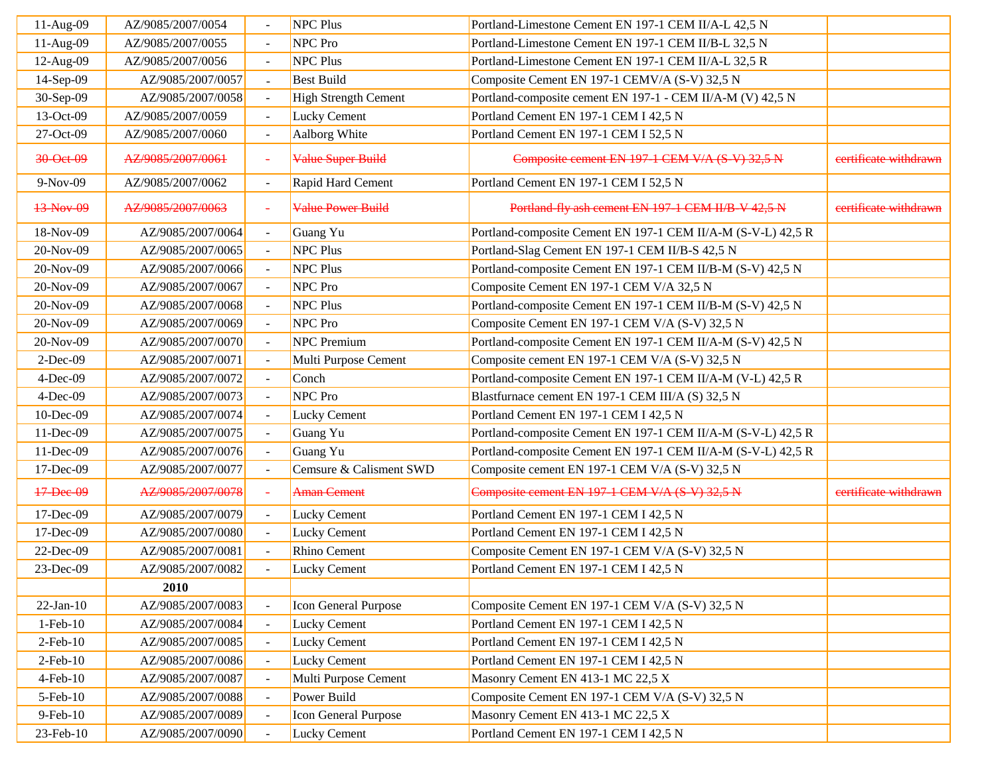| 11-Aug-09      | AZ/9085/2007/0054 |                          | <b>NPC Plus</b>             | Portland-Limestone Cement EN 197-1 CEM II/A-L 42,5 N         |                       |
|----------------|-------------------|--------------------------|-----------------------------|--------------------------------------------------------------|-----------------------|
| 11-Aug-09      | AZ/9085/2007/0055 |                          | NPC Pro                     | Portland-Limestone Cement EN 197-1 CEM II/B-L 32,5 N         |                       |
| 12-Aug-09      | AZ/9085/2007/0056 |                          | <b>NPC Plus</b>             | Portland-Limestone Cement EN 197-1 CEM II/A-L 32,5 R         |                       |
| 14-Sep-09      | AZ/9085/2007/0057 |                          | <b>Best Build</b>           | Composite Cement EN 197-1 CEMV/A (S-V) 32,5 N                |                       |
| 30-Sep-09      | AZ/9085/2007/0058 |                          | <b>High Strength Cement</b> | Portland-composite cement EN 197-1 - CEM II/A-M (V) 42,5 N   |                       |
| 13-Oct-09      | AZ/9085/2007/0059 | $\sim$                   | <b>Lucky Cement</b>         | Portland Cement EN 197-1 CEM I 42,5 N                        |                       |
| 27-Oct-09      | AZ/9085/2007/0060 | $\omega$                 | Aalborg White               | Portland Cement EN 197-1 CEM I 52,5 N                        |                       |
| 30-Oet-09      | AZ/9085/2007/0061 | $\sim$                   | Value Super Build           | Composite cement EN 197-1 CEM V/A (S-V) 32,5 N               | eertificate withdrawn |
| 9-Nov-09       | AZ/9085/2007/0062 | $\sim$                   | Rapid Hard Cement           | Portland Cement EN 197-1 CEM I 52,5 N                        |                       |
| 13-Nov-09      | AZ/9085/2007/0063 | $\overline{\phantom{a}}$ | <b>Value Power Build</b>    | Portland-fly ash cement EN 197-1 CEM II/B-V 42,5 N           | certificate withdrawn |
| 18-Nov-09      | AZ/9085/2007/0064 | $\sim$                   | Guang Yu                    | Portland-composite Cement EN 197-1 CEM II/A-M (S-V-L) 42,5 R |                       |
| 20-Nov-09      | AZ/9085/2007/0065 |                          | <b>NPC Plus</b>             | Portland-Slag Cement EN 197-1 CEM II/B-S 42,5 N              |                       |
| 20-Nov-09      | AZ/9085/2007/0066 |                          | <b>NPC Plus</b>             | Portland-composite Cement EN 197-1 CEM II/B-M (S-V) 42,5 N   |                       |
| 20-Nov-09      | AZ/9085/2007/0067 |                          | NPC Pro                     | Composite Cement EN 197-1 CEM V/A 32,5 N                     |                       |
| 20-Nov-09      | AZ/9085/2007/0068 |                          | <b>NPC Plus</b>             | Portland-composite Cement EN 197-1 CEM II/B-M (S-V) 42,5 N   |                       |
| 20-Nov-09      | AZ/9085/2007/0069 |                          | NPC Pro                     | Composite Cement EN 197-1 CEM V/A (S-V) 32,5 N               |                       |
| 20-Nov-09      | AZ/9085/2007/0070 | $\sim$                   | <b>NPC</b> Premium          | Portland-composite Cement EN 197-1 CEM II/A-M (S-V) 42,5 N   |                       |
| $2-Dec-09$     | AZ/9085/2007/0071 | $\sim$                   | Multi Purpose Cement        | Composite cement EN 197-1 CEM V/A (S-V) 32,5 N               |                       |
| $4-Dec-09$     | AZ/9085/2007/0072 |                          | Conch                       | Portland-composite Cement EN 197-1 CEM II/A-M (V-L) 42,5 R   |                       |
| $4-Dec-09$     | AZ/9085/2007/0073 |                          | NPC Pro                     | Blastfurnace cement EN 197-1 CEM III/A (S) 32,5 N            |                       |
| 10-Dec-09      | AZ/9085/2007/0074 |                          | Lucky Cement                | Portland Cement EN 197-1 CEM I 42,5 N                        |                       |
| 11-Dec-09      | AZ/9085/2007/0075 |                          | Guang Yu                    | Portland-composite Cement EN 197-1 CEM II/A-M (S-V-L) 42,5 R |                       |
| 11-Dec-09      | AZ/9085/2007/0076 | $\equiv$                 | Guang Yu                    | Portland-composite Cement EN 197-1 CEM II/A-M (S-V-L) 42,5 R |                       |
| 17-Dec-09      | AZ/9085/2007/0077 |                          | Cemsure & Calisment SWD     | Composite cement EN 197-1 CEM V/A (S-V) 32,5 N               |                       |
| 17-Dec-09      | AZ/9085/2007/0078 |                          | <b>Aman Cement</b>          | Composite cement EN 197-1 CEM V/A (S-V) 32,5 N               | certificate withdrawn |
| 17-Dec-09      | AZ/9085/2007/0079 |                          | <b>Lucky Cement</b>         | Portland Cement EN 197-1 CEM I 42,5 N                        |                       |
| 17-Dec-09      | AZ/9085/2007/0080 |                          | <b>Lucky Cement</b>         | Portland Cement EN 197-1 CEM I 42,5 N                        |                       |
| 22-Dec-09      | AZ/9085/2007/0081 |                          | <b>Rhino Cement</b>         | Composite Cement EN 197-1 CEM V/A (S-V) 32,5 N               |                       |
| 23-Dec-09      | AZ/9085/2007/0082 |                          | <b>Lucky Cement</b>         | Portland Cement EN 197-1 CEM I 42,5 N                        |                       |
|                | 2010              |                          |                             |                                                              |                       |
| $22-Jan-10$    | AZ/9085/2007/0083 |                          | Icon General Purpose        | Composite Cement EN 197-1 CEM V/A (S-V) 32,5 N               |                       |
| $1-Feb-10$     | AZ/9085/2007/0084 | $\sim$                   | <b>Lucky Cement</b>         | Portland Cement EN 197-1 CEM I 42,5 N                        |                       |
| $2$ -Feb- $10$ | AZ/9085/2007/0085 |                          | <b>Lucky Cement</b>         | Portland Cement EN 197-1 CEM I 42,5 N                        |                       |
| $2$ -Feb- $10$ | AZ/9085/2007/0086 |                          | <b>Lucky Cement</b>         | Portland Cement EN 197-1 CEM I 42,5 N                        |                       |
| $4$ -Feb- $10$ | AZ/9085/2007/0087 |                          | Multi Purpose Cement        | Masonry Cement EN 413-1 MC 22,5 X                            |                       |
| 5-Feb-10       | AZ/9085/2007/0088 |                          | Power Build                 | Composite Cement EN 197-1 CEM V/A (S-V) 32,5 N               |                       |
| 9-Feb-10       | AZ/9085/2007/0089 |                          | Icon General Purpose        | Masonry Cement EN 413-1 MC 22,5 X                            |                       |
| 23-Feb-10      | AZ/9085/2007/0090 |                          | <b>Lucky Cement</b>         | Portland Cement EN 197-1 CEM I 42,5 N                        |                       |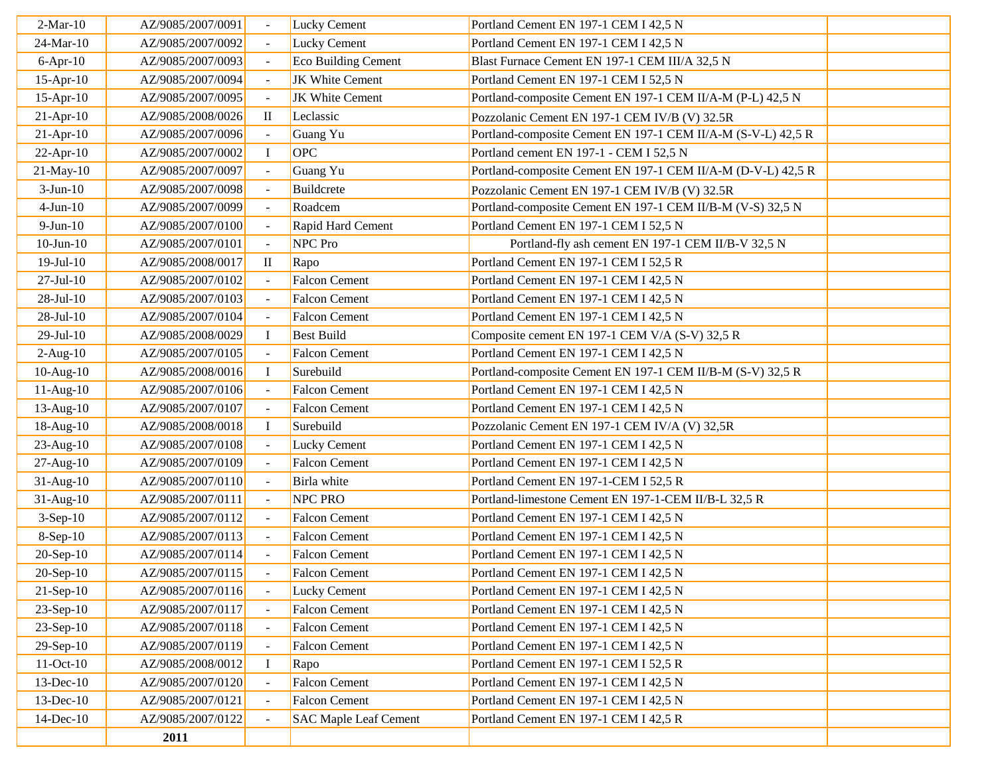| $2-Mar-10$      | AZ/9085/2007/0091 |                | <b>Lucky Cement</b>          | Portland Cement EN 197-1 CEM I 42,5 N                        |  |
|-----------------|-------------------|----------------|------------------------------|--------------------------------------------------------------|--|
| 24-Mar-10       | AZ/9085/2007/0092 |                | Lucky Cement                 | Portland Cement EN 197-1 CEM I 42,5 N                        |  |
| $6-Apr-10$      | AZ/9085/2007/0093 |                | Eco Building Cement          | Blast Furnace Cement EN 197-1 CEM III/A 32,5 N               |  |
| $15$ -Apr- $10$ | AZ/9085/2007/0094 |                | JK White Cement              | Portland Cement EN 197-1 CEM I 52,5 N                        |  |
| $15$ -Apr- $10$ | AZ/9085/2007/0095 |                | <b>JK White Cement</b>       | Portland-composite Cement EN 197-1 CEM II/A-M (P-L) 42,5 N   |  |
| $21-Apr-10$     | AZ/9085/2008/0026 | $\mathbf{I}$   | Leclassic                    | Pozzolanic Cement EN 197-1 CEM IV/B (V) 32.5R                |  |
| $21-Apr-10$     | AZ/9085/2007/0096 |                | Guang Yu                     | Portland-composite Cement EN 197-1 CEM II/A-M (S-V-L) 42,5 R |  |
| $22$ -Apr-10    | AZ/9085/2007/0002 | $\bf I$        | OPC                          | Portland cement EN 197-1 - CEM I 52,5 N                      |  |
| 21-May-10       | AZ/9085/2007/0097 | $\blacksquare$ | Guang Yu                     | Portland-composite Cement EN 197-1 CEM II/A-M (D-V-L) 42,5 R |  |
| $3-Jun-10$      | AZ/9085/2007/0098 |                | Buildcrete                   | Pozzolanic Cement EN 197-1 CEM IV/B (V) 32.5R                |  |
| $4-Jun-10$      | AZ/9085/2007/0099 |                | Roadcem                      | Portland-composite Cement EN 197-1 CEM II/B-M (V-S) 32,5 N   |  |
| $9-Jun-10$      | AZ/9085/2007/0100 |                | Rapid Hard Cement            | Portland Cement EN 197-1 CEM I 52,5 N                        |  |
| $10$ -Jun- $10$ | AZ/9085/2007/0101 |                | NPC Pro                      | Portland-fly ash cement EN 197-1 CEM II/B-V 32,5 N           |  |
| $19-Jul-10$     | AZ/9085/2008/0017 | $\rm II$       | Rapo                         | Portland Cement EN 197-1 CEM I 52,5 R                        |  |
| $27-Jul-10$     | AZ/9085/2007/0102 |                | <b>Falcon Cement</b>         | Portland Cement EN 197-1 CEM I 42,5 N                        |  |
| $28-Jul-10$     | AZ/9085/2007/0103 |                | <b>Falcon Cement</b>         | Portland Cement EN 197-1 CEM I 42,5 N                        |  |
| $28-Jul-10$     | AZ/9085/2007/0104 |                | <b>Falcon Cement</b>         | Portland Cement EN 197-1 CEM I 42,5 N                        |  |
| $29-Jul-10$     | AZ/9085/2008/0029 | $\bf{I}$       | <b>Best Build</b>            | Composite cement EN 197-1 CEM V/A (S-V) 32,5 R               |  |
| $2-Aug-10$      | AZ/9085/2007/0105 |                | <b>Falcon Cement</b>         | Portland Cement EN 197-1 CEM I 42,5 N                        |  |
| $10-Aug-10$     | AZ/9085/2008/0016 | $\bf{I}$       | Surebuild                    | Portland-composite Cement EN 197-1 CEM II/B-M (S-V) 32,5 R   |  |
| $11-Aug-10$     | AZ/9085/2007/0106 | $\sim$         | Falcon Cement                | Portland Cement EN 197-1 CEM I 42,5 N                        |  |
| 13-Aug-10       | AZ/9085/2007/0107 |                | <b>Falcon Cement</b>         | Portland Cement EN 197-1 CEM I 42,5 N                        |  |
| 18-Aug-10       | AZ/9085/2008/0018 | $\mathbf I$    | Surebuild                    | Pozzolanic Cement EN 197-1 CEM IV/A (V) 32,5R                |  |
| $23$ -Aug-10    | AZ/9085/2007/0108 |                | <b>Lucky Cement</b>          | Portland Cement EN 197-1 CEM I 42,5 N                        |  |
| 27-Aug-10       | AZ/9085/2007/0109 |                | <b>Falcon Cement</b>         | Portland Cement EN 197-1 CEM I 42,5 N                        |  |
| $31-Aug-10$     | AZ/9085/2007/0110 |                | Birla white                  | Portland Cement EN 197-1-CEM I 52,5 R                        |  |
| 31-Aug-10       | AZ/9085/2007/0111 |                | <b>NPC PRO</b>               | Portland-limestone Cement EN 197-1-CEM II/B-L 32,5 R         |  |
| $3-Sep-10$      | AZ/9085/2007/0112 |                | <b>Falcon Cement</b>         | Portland Cement EN 197-1 CEM I 42,5 N                        |  |
| $8-Sep-10$      | AZ/9085/2007/0113 |                | <b>Falcon Cement</b>         | Portland Cement EN 197-1 CEM I 42,5 N                        |  |
| 20-Sep-10       | AZ/9085/2007/0114 |                | <b>Falcon Cement</b>         | Portland Cement EN 197-1 CEM I 42,5 N                        |  |
| $20-Sep-10$     | AZ/9085/2007/0115 |                | <b>Falcon Cement</b>         | Portland Cement EN 197-1 CEM I 42,5 N                        |  |
| $21-Sep-10$     | AZ/9085/2007/0116 |                | <b>Lucky Cement</b>          | Portland Cement EN 197-1 CEM I 42,5 N                        |  |
| $23-Sep-10$     | AZ/9085/2007/0117 |                | <b>Falcon Cement</b>         | Portland Cement EN 197-1 CEM I 42,5 N                        |  |
| $23-Sep-10$     | AZ/9085/2007/0118 |                | <b>Falcon Cement</b>         | Portland Cement EN 197-1 CEM I 42,5 N                        |  |
| 29-Sep-10       | AZ/9085/2007/0119 |                | <b>Falcon Cement</b>         | Portland Cement EN 197-1 CEM I 42,5 N                        |  |
| $11-Oct-10$     | AZ/9085/2008/0012 | $\bf{I}$       | Rapo                         | Portland Cement EN 197-1 CEM I 52,5 R                        |  |
| 13-Dec-10       | AZ/9085/2007/0120 |                | <b>Falcon Cement</b>         | Portland Cement EN 197-1 CEM I 42,5 N                        |  |
| 13-Dec-10       | AZ/9085/2007/0121 |                | <b>Falcon Cement</b>         | Portland Cement EN 197-1 CEM I 42,5 N                        |  |
| 14-Dec-10       | AZ/9085/2007/0122 |                | <b>SAC Maple Leaf Cement</b> | Portland Cement EN 197-1 CEM I 42,5 R                        |  |
|                 | 2011              |                |                              |                                                              |  |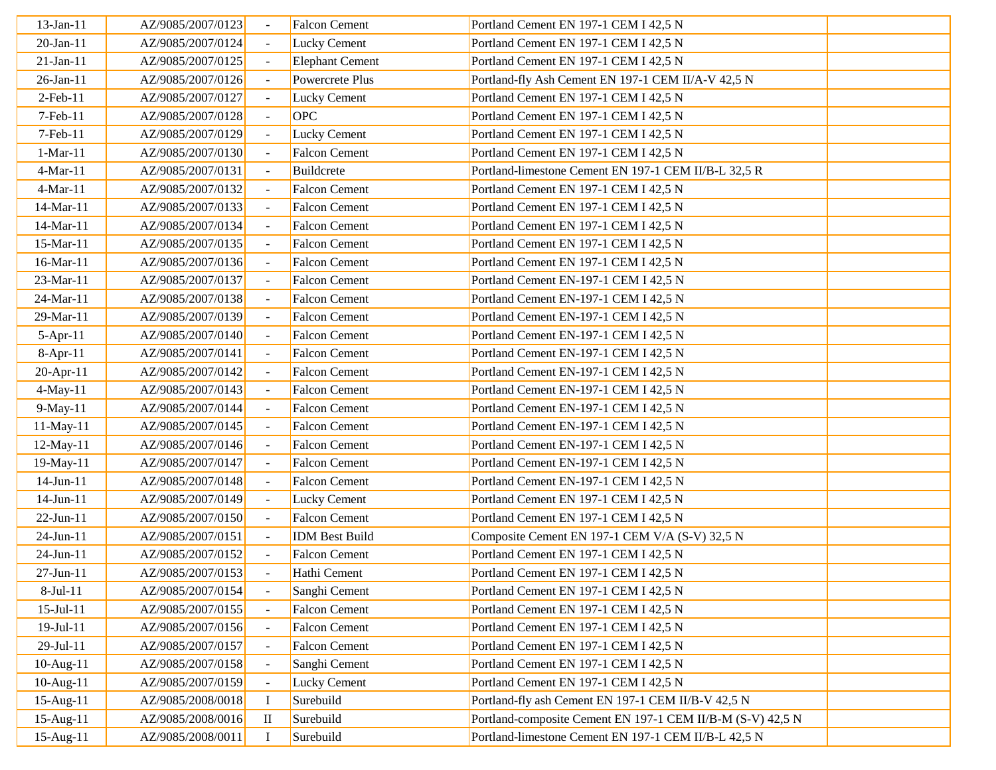| 13-Jan-11        | AZ/9085/2007/0123 |                | <b>Falcon Cement</b>   | Portland Cement EN 197-1 CEM I 42,5 N                      |  |
|------------------|-------------------|----------------|------------------------|------------------------------------------------------------|--|
| 20-Jan-11        | AZ/9085/2007/0124 |                | Lucky Cement           | Portland Cement EN 197-1 CEM I 42,5 N                      |  |
| $21-Jan-11$      | AZ/9085/2007/0125 |                | <b>Elephant Cement</b> | Portland Cement EN 197-1 CEM I 42,5 N                      |  |
| 26-Jan-11        | AZ/9085/2007/0126 |                | Powercrete Plus        | Portland-fly Ash Cement EN 197-1 CEM II/A-V 42,5 N         |  |
| $2$ -Feb-11      | AZ/9085/2007/0127 |                | <b>Lucky Cement</b>    | Portland Cement EN 197-1 CEM I 42,5 N                      |  |
| 7-Feb-11         | AZ/9085/2007/0128 | $\blacksquare$ | <b>OPC</b>             | Portland Cement EN 197-1 CEM I 42,5 N                      |  |
| $7-Feb-11$       | AZ/9085/2007/0129 |                | Lucky Cement           | Portland Cement EN 197-1 CEM I 42,5 N                      |  |
| $1-Mar-11$       | AZ/9085/2007/0130 |                | <b>Falcon Cement</b>   | Portland Cement EN 197-1 CEM I 42,5 N                      |  |
| 4-Mar-11         | AZ/9085/2007/0131 |                | Buildcrete             | Portland-limestone Cement EN 197-1 CEM II/B-L 32,5 R       |  |
| 4-Mar-11         | AZ/9085/2007/0132 |                | Falcon Cement          | Portland Cement EN 197-1 CEM I 42,5 N                      |  |
| 14-Mar-11        | AZ/9085/2007/0133 |                | <b>Falcon Cement</b>   | Portland Cement EN 197-1 CEM I 42,5 N                      |  |
| 14-Mar-11        | AZ/9085/2007/0134 |                | <b>Falcon Cement</b>   | Portland Cement EN 197-1 CEM I 42,5 N                      |  |
| 15-Mar-11        | AZ/9085/2007/0135 |                | Falcon Cement          | Portland Cement EN 197-1 CEM I 42,5 N                      |  |
| 16-Mar-11        | AZ/9085/2007/0136 |                | <b>Falcon Cement</b>   | Portland Cement EN 197-1 CEM I 42,5 N                      |  |
| 23-Mar-11        | AZ/9085/2007/0137 |                | <b>Falcon Cement</b>   | Portland Cement EN-197-1 CEM I 42,5 N                      |  |
| 24-Mar-11        | AZ/9085/2007/0138 |                | <b>Falcon Cement</b>   | Portland Cement EN-197-1 CEM I 42,5 N                      |  |
| 29-Mar-11        | AZ/9085/2007/0139 |                | <b>Falcon Cement</b>   | Portland Cement EN-197-1 CEM I 42,5 N                      |  |
| $5-Apr-11$       | AZ/9085/2007/0140 |                | <b>Falcon Cement</b>   | Portland Cement EN-197-1 CEM I 42,5 N                      |  |
| $8-Apr-11$       | AZ/9085/2007/0141 |                | <b>Falcon Cement</b>   | Portland Cement EN-197-1 CEM I 42,5 N                      |  |
| 20-Apr-11        | AZ/9085/2007/0142 |                | <b>Falcon Cement</b>   | Portland Cement EN-197-1 CEM I 42,5 N                      |  |
| 4-May-11         | AZ/9085/2007/0143 |                | Falcon Cement          | Portland Cement EN-197-1 CEM I 42,5 N                      |  |
| 9-May-11         | AZ/9085/2007/0144 |                | <b>Falcon Cement</b>   | Portland Cement EN-197-1 CEM I 42,5 N                      |  |
| 11-May-11        | AZ/9085/2007/0145 |                | <b>Falcon Cement</b>   | Portland Cement EN-197-1 CEM I 42,5 N                      |  |
| 12-May-11        | AZ/9085/2007/0146 |                | <b>Falcon Cement</b>   | Portland Cement EN-197-1 CEM I 42,5 N                      |  |
| 19-May-11        | AZ/9085/2007/0147 | $\sim$         | <b>Falcon Cement</b>   | Portland Cement EN-197-1 CEM I 42,5 N                      |  |
| 14-Jun-11        | AZ/9085/2007/0148 |                | <b>Falcon Cement</b>   | Portland Cement EN-197-1 CEM I 42,5 N                      |  |
| 14-Jun-11        | AZ/9085/2007/0149 |                | <b>Lucky Cement</b>    | Portland Cement EN 197-1 CEM I 42,5 N                      |  |
| 22-Jun-11        | AZ/9085/2007/0150 |                | <b>Falcon Cement</b>   | Portland Cement EN 197-1 CEM I 42,5 N                      |  |
| 24-Jun-11        | AZ/9085/2007/0151 |                | <b>IDM</b> Best Build  | Composite Cement EN 197-1 CEM V/A (S-V) 32,5 N             |  |
| 24-Jun-11        | AZ/9085/2007/0152 |                | <b>Falcon Cement</b>   | Portland Cement EN 197-1 CEM I 42,5 N                      |  |
| 27-Jun-11        | AZ/9085/2007/0153 |                | Hathi Cement           | Portland Cement EN 197-1 CEM I 42,5 N                      |  |
| 8-Jul-11         | AZ/9085/2007/0154 |                | Sanghi Cement          | Portland Cement EN 197-1 CEM I 42,5 N                      |  |
| $15 -$ Jul $-11$ | AZ/9085/2007/0155 |                | <b>Falcon Cement</b>   | Portland Cement EN 197-1 CEM I 42,5 N                      |  |
| 19-Jul-11        | AZ/9085/2007/0156 |                | <b>Falcon Cement</b>   | Portland Cement EN 197-1 CEM I 42,5 N                      |  |
| $29-Jul-11$      | AZ/9085/2007/0157 |                | <b>Falcon Cement</b>   | Portland Cement EN 197-1 CEM I 42,5 N                      |  |
| 10-Aug-11        | AZ/9085/2007/0158 |                | Sanghi Cement          | Portland Cement EN 197-1 CEM I 42,5 N                      |  |
| 10-Aug-11        | AZ/9085/2007/0159 |                | <b>Lucky Cement</b>    | Portland Cement EN 197-1 CEM I 42,5 N                      |  |
| 15-Aug-11        | AZ/9085/2008/0018 |                | Surebuild              | Portland-fly ash Cement EN 197-1 CEM II/B-V 42,5 N         |  |
| 15-Aug-11        | AZ/9085/2008/0016 | $\mathbf{I}$   | Surebuild              | Portland-composite Cement EN 197-1 CEM II/B-M (S-V) 42,5 N |  |
| 15-Aug-11        | AZ/9085/2008/0011 |                | Surebuild              | Portland-limestone Cement EN 197-1 CEM II/B-L 42,5 N       |  |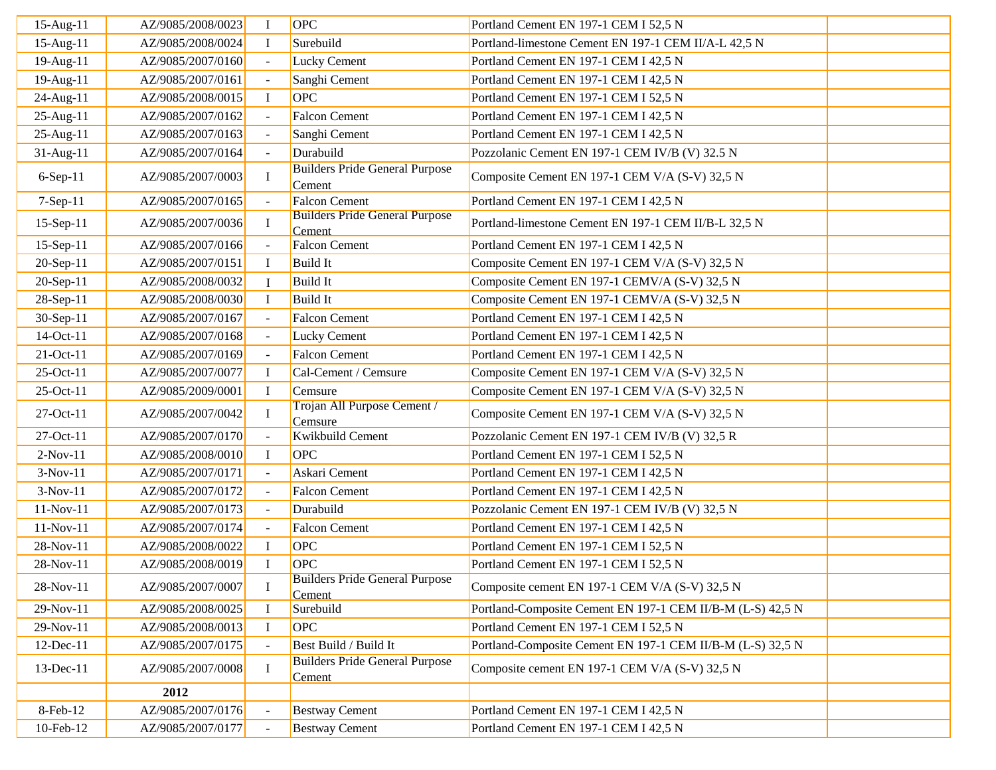| 15-Aug-11       | AZ/9085/2008/0023 | Ι.           | OPC                                             | Portland Cement EN 197-1 CEM I 52,5 N                      |  |
|-----------------|-------------------|--------------|-------------------------------------------------|------------------------------------------------------------|--|
| 15-Aug-11       | AZ/9085/2008/0024 | $\bf{I}$     | Surebuild                                       | Portland-limestone Cement EN 197-1 CEM II/A-L 42,5 N       |  |
| 19-Aug-11       | AZ/9085/2007/0160 |              | <b>Lucky Cement</b>                             | Portland Cement EN 197-1 CEM I 42,5 N                      |  |
| 19-Aug-11       | AZ/9085/2007/0161 |              | Sanghi Cement                                   | Portland Cement EN 197-1 CEM I 42,5 N                      |  |
| 24-Aug-11       | AZ/9085/2008/0015 | $\bf{I}$     | OPC                                             | Portland Cement EN 197-1 CEM I 52,5 N                      |  |
| 25-Aug-11       | AZ/9085/2007/0162 |              | <b>Falcon Cement</b>                            | Portland Cement EN 197-1 CEM I 42,5 N                      |  |
| 25-Aug-11       | AZ/9085/2007/0163 |              | Sanghi Cement                                   | Portland Cement EN 197-1 CEM I 42,5 N                      |  |
| 31-Aug-11       | AZ/9085/2007/0164 |              | Durabuild                                       | Pozzolanic Cement EN 197-1 CEM IV/B (V) 32.5 N             |  |
| 6-Sep-11        | AZ/9085/2007/0003 | $\Gamma$     | <b>Builders Pride General Purpose</b><br>Cement | Composite Cement EN 197-1 CEM V/A (S-V) 32,5 N             |  |
| 7-Sep-11        | AZ/9085/2007/0165 |              | <b>Falcon Cement</b>                            | Portland Cement EN 197-1 CEM I 42,5 N                      |  |
| 15-Sep-11       | AZ/9085/2007/0036 | $\bf I$      | <b>Builders Pride General Purpose</b><br>Cement | Portland-limestone Cement EN 197-1 CEM II/B-L 32,5 N       |  |
| 15-Sep-11       | AZ/9085/2007/0166 |              | <b>Falcon Cement</b>                            | Portland Cement EN 197-1 CEM I 42,5 N                      |  |
| 20-Sep-11       | AZ/9085/2007/0151 | $\bf{I}$     | <b>Build</b> It                                 | Composite Cement EN 197-1 CEM V/A (S-V) 32,5 N             |  |
| 20-Sep-11       | AZ/9085/2008/0032 |              | <b>Build</b> It                                 | Composite Cement EN 197-1 CEMV/A (S-V) 32,5 N              |  |
| 28-Sep-11       | AZ/9085/2008/0030 | $\mathbf{I}$ | <b>Build</b> It                                 | Composite Cement EN 197-1 CEMV/A (S-V) 32,5 N              |  |
| 30-Sep-11       | AZ/9085/2007/0167 |              | <b>Falcon Cement</b>                            | Portland Cement EN 197-1 CEM I 42,5 N                      |  |
| 14-Oct-11       | AZ/9085/2007/0168 |              | Lucky Cement                                    | Portland Cement EN 197-1 CEM I 42,5 N                      |  |
| 21-Oct-11       | AZ/9085/2007/0169 |              | Falcon Cement                                   | Portland Cement EN 197-1 CEM I 42,5 N                      |  |
| 25-Oct-11       | AZ/9085/2007/0077 | $\bf{I}$     | Cal-Cement / Cemsure                            | Composite Cement EN 197-1 CEM V/A (S-V) 32,5 N             |  |
| 25-Oct-11       | AZ/9085/2009/0001 | $\mathbf{I}$ | Cemsure                                         | Composite Cement EN 197-1 CEM V/A (S-V) 32,5 N             |  |
| 27-Oct-11       | AZ/9085/2007/0042 | $\mathbf I$  | Trojan All Purpose Cement /<br>Cemsure          | Composite Cement EN 197-1 CEM V/A (S-V) 32,5 N             |  |
| 27-Oct-11       | AZ/9085/2007/0170 |              | Kwikbuild Cement                                | Pozzolanic Cement EN 197-1 CEM IV/B (V) 32,5 R             |  |
| $2-Nov-11$      | AZ/9085/2008/0010 | $\bf I$      | OPC                                             | Portland Cement EN 197-1 CEM I 52,5 N                      |  |
| $3-Nov-11$      | AZ/9085/2007/0171 | $\sim$       | Askari Cement                                   | Portland Cement EN 197-1 CEM I 42,5 N                      |  |
| $3-Nov-11$      | AZ/9085/2007/0172 |              | <b>Falcon Cement</b>                            | Portland Cement EN 197-1 CEM I 42,5 N                      |  |
| 11-Nov-11       | AZ/9085/2007/0173 |              | Durabuild                                       | Pozzolanic Cement EN 197-1 CEM IV/B (V) 32,5 N             |  |
| 11-Nov-11       | AZ/9085/2007/0174 |              | <b>Falcon Cement</b>                            | Portland Cement EN 197-1 CEM I 42,5 N                      |  |
| 28-Nov-11       | AZ/9085/2008/0022 | $\mathbf I$  | OPC                                             | Portland Cement EN 197-1 CEM I 52,5 N                      |  |
| 28-Nov-11       | AZ/9085/2008/0019 | $\mathbf{I}$ | OPC                                             | Portland Cement EN 197-1 CEM I 52,5 N                      |  |
| 28-Nov-11       | AZ/9085/2007/0007 |              | <b>Builders Pride General Purpose</b><br>Cement | Composite cement EN 197-1 CEM V/A (S-V) 32,5 N             |  |
| 29-Nov-11       | AZ/9085/2008/0025 |              | Surebuild                                       | Portland-Composite Cement EN 197-1 CEM II/B-M (L-S) 42,5 N |  |
| 29-Nov-11       | AZ/9085/2008/0013 | $\bf{I}$     | <b>OPC</b>                                      | Portland Cement EN 197-1 CEM I 52,5 N                      |  |
| $12$ -Dec- $11$ | AZ/9085/2007/0175 |              | Best Build / Build It                           | Portland-Composite Cement EN 197-1 CEM II/B-M (L-S) 32,5 N |  |
| 13-Dec-11       | AZ/9085/2007/0008 |              | <b>Builders Pride General Purpose</b><br>Cement | Composite cement EN 197-1 CEM V/A (S-V) 32,5 N             |  |
|                 | 2012              |              |                                                 |                                                            |  |
| 8-Feb-12        | AZ/9085/2007/0176 |              | <b>Bestway Cement</b>                           | Portland Cement EN 197-1 CEM I 42,5 N                      |  |
| 10-Feb-12       | AZ/9085/2007/0177 |              | <b>Bestway Cement</b>                           | Portland Cement EN 197-1 CEM I 42,5 N                      |  |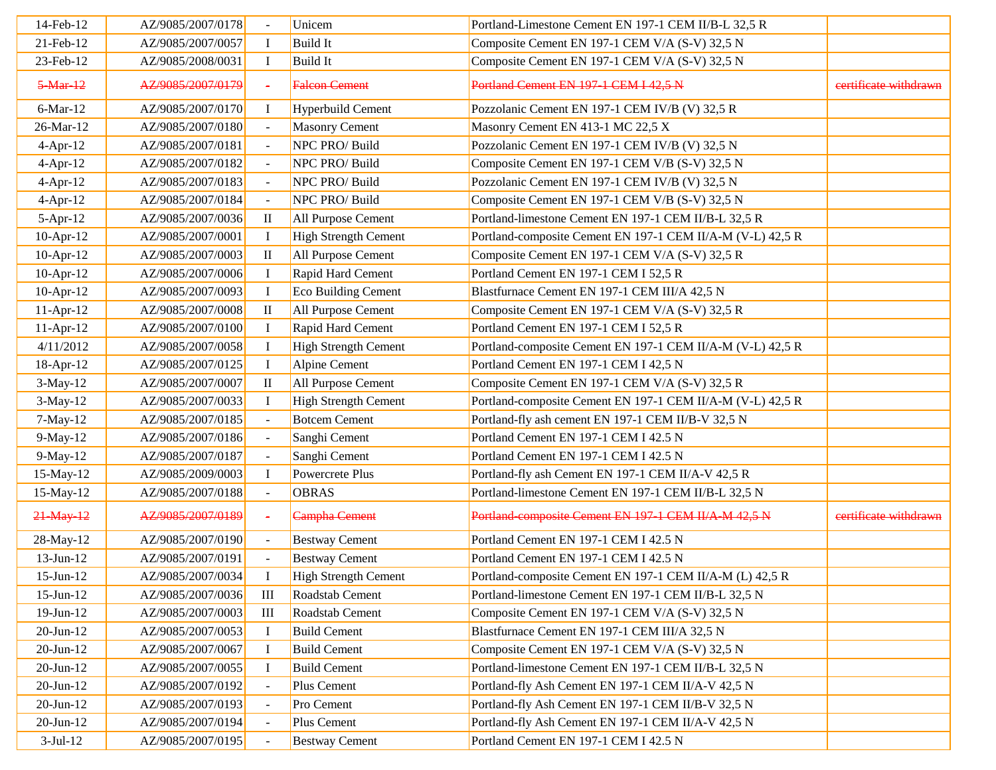| 14-Feb-12       | AZ/9085/2007/0178 |                          | Unicem                      | Portland-Limestone Cement EN 197-1 CEM II/B-L 32,5 R       |                       |
|-----------------|-------------------|--------------------------|-----------------------------|------------------------------------------------------------|-----------------------|
| 21-Feb-12       | AZ/9085/2007/0057 | $\bf I$                  | <b>Build It</b>             | Composite Cement EN 197-1 CEM V/A (S-V) 32,5 N             |                       |
| 23-Feb-12       | AZ/9085/2008/0031 | $\bf I$                  | <b>Build</b> It             | Composite Cement EN 197-1 CEM V/A (S-V) 32,5 N             |                       |
| $5-Mar-12$      | AZ/9085/2007/0179 | ÷                        | <b>Falcon</b> Cement        | Portland Cement EN 197-1 CEM I 42,5 N                      | eertificate withdrawn |
| 6-Mar-12        | AZ/9085/2007/0170 |                          | Hyperbuild Cement           | Pozzolanic Cement EN 197-1 CEM IV/B (V) 32,5 R             |                       |
| 26-Mar-12       | AZ/9085/2007/0180 | $\sim$                   | Masonry Cement              | Masonry Cement EN 413-1 MC 22,5 X                          |                       |
| $4-Apr-12$      | AZ/9085/2007/0181 |                          | NPC PRO/ Build              | Pozzolanic Cement EN 197-1 CEM IV/B (V) 32,5 N             |                       |
| $4-Apr-12$      | AZ/9085/2007/0182 |                          | NPC PRO/ Build              | Composite Cement EN 197-1 CEM V/B (S-V) 32,5 N             |                       |
| $4-Apr-12$      | AZ/9085/2007/0183 |                          | NPC PRO/ Build              | Pozzolanic Cement EN 197-1 CEM IV/B (V) 32,5 N             |                       |
| $4-Apr-12$      | AZ/9085/2007/0184 | $\overline{\phantom{a}}$ | NPC PRO/ Build              | Composite Cement EN 197-1 CEM V/B (S-V) 32,5 N             |                       |
| $5-Apr-12$      | AZ/9085/2007/0036 | $\rm{II}$                | All Purpose Cement          | Portland-limestone Cement EN 197-1 CEM II/B-L 32,5 R       |                       |
| 10-Apr-12       | AZ/9085/2007/0001 | $\bf I$                  | <b>High Strength Cement</b> | Portland-composite Cement EN 197-1 CEM II/A-M (V-L) 42,5 R |                       |
| $10$ -Apr- $12$ | AZ/9085/2007/0003 | $\mathbf{I}$             | All Purpose Cement          | Composite Cement EN 197-1 CEM V/A (S-V) 32,5 R             |                       |
| $10$ -Apr- $12$ | AZ/9085/2007/0006 |                          | Rapid Hard Cement           | Portland Cement EN 197-1 CEM I 52,5 R                      |                       |
| 10-Apr-12       | AZ/9085/2007/0093 | $\bf I$                  | Eco Building Cement         | Blastfurnace Cement EN 197-1 CEM III/A 42,5 N              |                       |
| $11-Apr-12$     | AZ/9085/2007/0008 | $\rm II$                 | All Purpose Cement          | Composite Cement EN 197-1 CEM V/A (S-V) 32,5 R             |                       |
| $11-Apr-12$     | AZ/9085/2007/0100 | $\bf{I}$                 | Rapid Hard Cement           | Portland Cement EN 197-1 CEM I 52,5 R                      |                       |
| 4/11/2012       | AZ/9085/2007/0058 | $\bf I$                  | <b>High Strength Cement</b> | Portland-composite Cement EN 197-1 CEM II/A-M (V-L) 42,5 R |                       |
| 18-Apr-12       | AZ/9085/2007/0125 | $\bf{I}$                 | Alpine Cement               | Portland Cement EN 197-1 CEM I 42,5 N                      |                       |
| $3-May-12$      | AZ/9085/2007/0007 | $\mathbf{I}$             | All Purpose Cement          | Composite Cement EN 197-1 CEM V/A (S-V) 32,5 R             |                       |
| $3-May-12$      | AZ/9085/2007/0033 |                          | <b>High Strength Cement</b> | Portland-composite Cement EN 197-1 CEM II/A-M (V-L) 42,5 R |                       |
| $7-May-12$      | AZ/9085/2007/0185 | $\omega$                 | <b>Botcem Cement</b>        | Portland-fly ash cement EN 197-1 CEM II/B-V 32,5 N         |                       |
| 9-May-12        | AZ/9085/2007/0186 |                          | Sanghi Cement               | Portland Cement EN 197-1 CEM I 42.5 N                      |                       |
| 9-May-12        | AZ/9085/2007/0187 |                          | Sanghi Cement               | Portland Cement EN 197-1 CEM I 42.5 N                      |                       |
| 15-May-12       | AZ/9085/2009/0003 | $\bf{I}$                 | Powercrete Plus             | Portland-fly ash Cement EN 197-1 CEM II/A-V 42,5 R         |                       |
| 15-May-12       | AZ/9085/2007/0188 |                          | <b>OBRAS</b>                | Portland-limestone Cement EN 197-1 CEM II/B-L 32,5 N       |                       |
| 21-May-12       | AZ/9085/2007/0189 | $\sim$                   | <b>Campha Cement</b>        | Portland-composite Cement EN 197-1 CEM II/A-M 42,5 N       | eertificate withdrawn |
| 28-May-12       | AZ/9085/2007/0190 | $\equiv$                 | <b>Bestway Cement</b>       | Portland Cement EN 197-1 CEM I 42.5 N                      |                       |
| $13$ -Jun- $12$ | AZ/9085/2007/0191 |                          | <b>Bestway Cement</b>       | Portland Cement EN 197-1 CEM I 42.5 N                      |                       |
| $15$ -Jun- $12$ | AZ/9085/2007/0034 |                          | High Strength Cement        | Portland-composite Cement EN 197-1 CEM II/A-M (L) 42,5 R   |                       |
| $15$ -Jun- $12$ | AZ/9085/2007/0036 | Ш                        | Roadstab Cement             | Portland-limestone Cement EN 197-1 CEM II/B-L 32,5 N       |                       |
| $19$ -Jun- $12$ | AZ/9085/2007/0003 | Ш                        | Roadstab Cement             | Composite Cement EN 197-1 CEM V/A (S-V) 32,5 N             |                       |
| $20$ -Jun- $12$ | AZ/9085/2007/0053 | $\bf{I}$                 | <b>Build Cement</b>         | Blastfurnace Cement EN 197-1 CEM III/A 32,5 N              |                       |
| $20$ -Jun-12    | AZ/9085/2007/0067 |                          | <b>Build Cement</b>         | Composite Cement EN 197-1 CEM V/A (S-V) 32,5 N             |                       |
| $20$ -Jun-12    | AZ/9085/2007/0055 |                          | <b>Build Cement</b>         | Portland-limestone Cement EN 197-1 CEM II/B-L 32,5 N       |                       |
| $20$ -Jun- $12$ | AZ/9085/2007/0192 |                          | Plus Cement                 | Portland-fly Ash Cement EN 197-1 CEM II/A-V 42,5 N         |                       |
| $20$ -Jun- $12$ | AZ/9085/2007/0193 |                          | Pro Cement                  | Portland-fly Ash Cement EN 197-1 CEM II/B-V 32,5 N         |                       |
| $20$ -Jun- $12$ | AZ/9085/2007/0194 |                          | Plus Cement                 | Portland-fly Ash Cement EN 197-1 CEM II/A-V 42,5 N         |                       |
| $3-Jul-12$      | AZ/9085/2007/0195 |                          | <b>Bestway Cement</b>       | Portland Cement EN 197-1 CEM I 42.5 N                      |                       |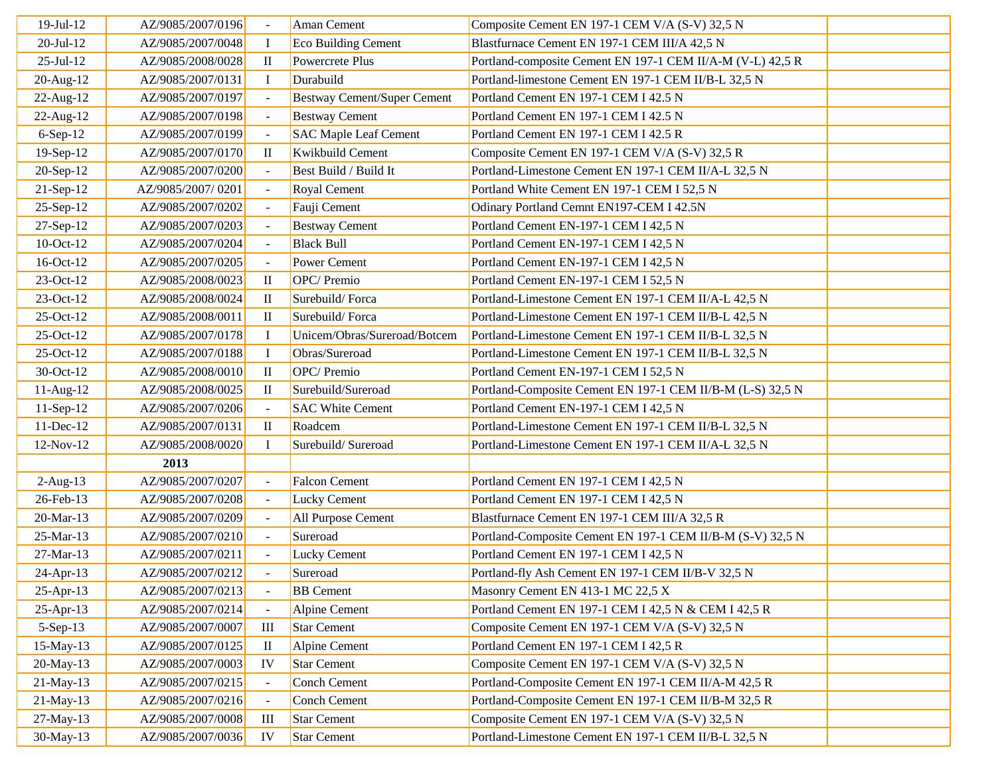| 19-Jul-12       | AZ/9085/2007/0196 |                | Aman Cement                        | Composite Cement EN 197-1 CEM V/A (S-V) 32,5 N             |  |
|-----------------|-------------------|----------------|------------------------------------|------------------------------------------------------------|--|
| $20-Jul-12$     | AZ/9085/2007/0048 | $\mathbf I$    | Eco Building Cement                | Blastfurnace Cement EN 197-1 CEM III/A 42,5 N              |  |
| $25$ -Jul-12    | AZ/9085/2008/0028 | $\mathbf{I}$   | Powercrete Plus                    | Portland-composite Cement EN 197-1 CEM II/A-M (V-L) 42,5 R |  |
| 20-Aug-12       | AZ/9085/2007/0131 | $\bf{I}$       | Durabuild                          | Portland-limestone Cement EN 197-1 CEM II/B-L 32,5 N       |  |
| 22-Aug-12       | AZ/9085/2007/0197 |                | <b>Bestway Cement/Super Cement</b> | Portland Cement EN 197-1 CEM I 42.5 N                      |  |
| 22-Aug-12       | AZ/9085/2007/0198 |                | <b>Bestway Cement</b>              | Portland Cement EN 197-1 CEM I 42.5 N                      |  |
| $6-Sep-12$      | AZ/9085/2007/0199 |                | <b>SAC Maple Leaf Cement</b>       | Portland Cement EN 197-1 CEM I 42.5 R                      |  |
| 19-Sep-12       | AZ/9085/2007/0170 | $\rm II$       | Kwikbuild Cement                   | Composite Cement EN 197-1 CEM V/A (S-V) 32,5 R             |  |
| 20-Sep-12       | AZ/9085/2007/0200 |                | Best Build / Build It              | Portland-Limestone Cement EN 197-1 CEM II/A-L 32,5 N       |  |
| 21-Sep-12       | AZ/9085/2007/0201 |                | Royal Cement                       | Portland White Cement EN 197-1 CEM I 52,5 N                |  |
| 25-Sep-12       | AZ/9085/2007/0202 |                | Fauji Cement                       | Odinary Portland Cemnt EN197-CEM I 42.5N                   |  |
| 27-Sep-12       | AZ/9085/2007/0203 |                | <b>Bestway Cement</b>              | Portland Cement EN-197-1 CEM I 42,5 N                      |  |
| 10-Oct-12       | AZ/9085/2007/0204 | $\sim$         | <b>Black Bull</b>                  | Portland Cement EN-197-1 CEM I 42,5 N                      |  |
| 16-Oct-12       | AZ/9085/2007/0205 |                | Power Cement                       | Portland Cement EN-197-1 CEM I 42,5 N                      |  |
| 23-Oct-12       | AZ/9085/2008/0023 | $\rm II$       | OPC/ Premio                        | Portland Cement EN-197-1 CEM I 52,5 N                      |  |
| 23-Oct-12       | AZ/9085/2008/0024 | $\mathbf{I}$   | Surebuild/Forca                    | Portland-Limestone Cement EN 197-1 CEM II/A-L 42,5 N       |  |
| 25-Oct-12       | AZ/9085/2008/0011 | $\mathbf{I}$   | Surebuild/Forca                    | Portland-Limestone Cement EN 197-1 CEM II/B-L 42,5 N       |  |
| 25-Oct-12       | AZ/9085/2007/0178 | $\mathbf I$    | Unicem/Obras/Sureroad/Botcem       | Portland-Limestone Cement EN 197-1 CEM II/B-L 32,5 N       |  |
| 25-Oct-12       | AZ/9085/2007/0188 | $\bf{I}$       | Obras/Sureroad                     | Portland-Limestone Cement EN 197-1 CEM II/B-L 32,5 N       |  |
| 30-Oct-12       | AZ/9085/2008/0010 | $\rm II$       | OPC/Premio                         | Portland Cement EN-197-1 CEM I 52,5 N                      |  |
| 11-Aug-12       | AZ/9085/2008/0025 | $\mathbf{I}$   | Surebuild/Sureroad                 | Portland-Composite Cement EN 197-1 CEM II/B-M (L-S) 32,5 N |  |
| 11-Sep-12       | AZ/9085/2007/0206 |                | <b>SAC White Cement</b>            | Portland Cement EN-197-1 CEM I 42,5 N                      |  |
| $11$ -Dec- $12$ | AZ/9085/2007/0131 | $\mathbf{I}$   | Roadcem                            | Portland-Limestone Cement EN 197-1 CEM II/B-L 32,5 N       |  |
| 12-Nov-12       | AZ/9085/2008/0020 | $\mathbf{I}$   | Surebuild/Sureroad                 | Portland-Limestone Cement EN 197-1 CEM II/A-L 32,5 N       |  |
|                 | 2013              |                |                                    |                                                            |  |
| $2-Aug-13$      | AZ/9085/2007/0207 | $\blacksquare$ | <b>Falcon Cement</b>               | Portland Cement EN 197-1 CEM I 42,5 N                      |  |
| 26-Feb-13       | AZ/9085/2007/0208 | $\blacksquare$ | <b>Lucky Cement</b>                | Portland Cement EN 197-1 CEM I 42,5 N                      |  |
| 20-Mar-13       | AZ/9085/2007/0209 |                | All Purpose Cement                 | Blastfurnace Cement EN 197-1 CEM III/A 32,5 R              |  |
| 25-Mar-13       | AZ/9085/2007/0210 |                | Sureroad                           | Portland-Composite Cement EN 197-1 CEM II/B-M (S-V) 32,5 N |  |
| 27-Mar-13       | AZ/9085/2007/0211 |                | <b>Lucky Cement</b>                | Portland Cement EN 197-1 CEM I 42,5 N                      |  |
| 24-Apr-13       | AZ/9085/2007/0212 |                | Sureroad                           | Portland-fly Ash Cement EN 197-1 CEM II/B-V 32,5 N         |  |
| $25 - Apr - 13$ | AZ/9085/2007/0213 |                | <b>BB</b> Cement                   | Masonry Cement EN 413-1 MC 22,5 X                          |  |
| $25 - Apr - 13$ | AZ/9085/2007/0214 |                | Alpine Cement                      | Portland Cement EN 197-1 CEM I 42,5 N & CEM I 42,5 R       |  |
| $5-Sep-13$      | AZ/9085/2007/0007 | Ш              | <b>Star Cement</b>                 | Composite Cement EN 197-1 CEM V/A (S-V) 32,5 N             |  |
| 15-May-13       | AZ/9085/2007/0125 | $\mathbf{I}$   | Alpine Cement                      | Portland Cement EN 197-1 CEM I 42,5 R                      |  |
| 20-May-13       | AZ/9085/2007/0003 | IV             | <b>Star Cement</b>                 | Composite Cement EN 197-1 CEM V/A (S-V) 32,5 N             |  |
| 21-May-13       | AZ/9085/2007/0215 |                | <b>Conch Cement</b>                | Portland-Composite Cement EN 197-1 CEM II/A-M 42,5 R       |  |
| 21-May-13       | AZ/9085/2007/0216 |                | Conch Cement                       | Portland-Composite Cement EN 197-1 CEM II/B-M 32,5 R       |  |
| 27-May-13       | AZ/9085/2007/0008 | Ш              | <b>Star Cement</b>                 | Composite Cement EN 197-1 CEM V/A (S-V) 32,5 N             |  |
| 30-May-13       | AZ/9085/2007/0036 | IV             | <b>Star Cement</b>                 | Portland-Limestone Cement EN 197-1 CEM II/B-L 32,5 N       |  |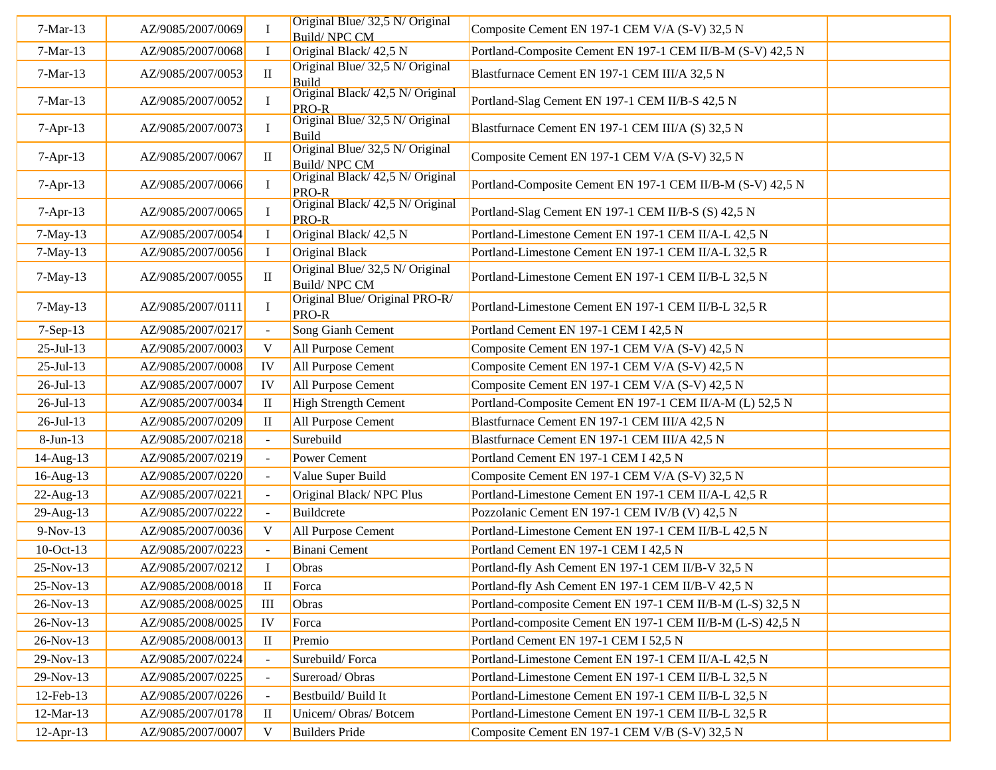| $7-Mar-13$<br>AZ/9085/2007/0069<br>Composite Cement EN 197-1 CEM V/A (S-V) 32,5 N<br><b>Build/NPC CM</b><br>Original Black/42,5 N<br>Portland-Composite Cement EN 197-1 CEM II/B-M (S-V) 42,5 N<br>$7-Mar-13$<br>AZ/9085/2007/0068<br>$\mathbf I$<br>Original Blue/ 32,5 N/ Original<br>Blastfurnace Cement EN 197-1 CEM III/A 32,5 N<br>$7-Mar-13$<br>AZ/9085/2007/0053<br>$\mathbf{I}$<br><b>Build</b><br>Original Black/ 42,5 N/ Original<br>Portland-Slag Cement EN 197-1 CEM II/B-S 42,5 N<br>$7-Mar-13$<br>AZ/9085/2007/0052<br><b>PRO-R</b><br>Original Blue/ 32,5 N/ Original<br>7-Apr-13<br>AZ/9085/2007/0073<br>Blastfurnace Cement EN 197-1 CEM III/A (S) 32,5 N<br>Build<br>Original Blue/ 32,5 N/ Original<br>7-Apr-13<br>$\mathbf{I}$<br>Composite Cement EN 197-1 CEM V/A (S-V) 32,5 N<br>AZ/9085/2007/0067<br>Build/NPC CM<br>Original Black/ 42,5 N/ Original<br>Portland-Composite Cement EN 197-1 CEM II/B-M (S-V) 42,5 N<br>$7-Apr-13$<br>AZ/9085/2007/0066<br>PRO-R<br>Original Black/ 42,5 N/ Original<br>Portland-Slag Cement EN 197-1 CEM II/B-S (S) 42,5 N<br>AZ/9085/2007/0065<br>$7-Apr-13$<br>PRO-R<br>$7-May-13$<br>Original Black/42,5 N<br>Portland-Limestone Cement EN 197-1 CEM II/A-L 42,5 N<br>AZ/9085/2007/0054<br>Original Black<br>Portland-Limestone Cement EN 197-1 CEM II/A-L 32,5 R<br>$7-May-13$<br>AZ/9085/2007/0056<br>Original Blue/ 32,5 N/ Original<br>Portland-Limestone Cement EN 197-1 CEM II/B-L 32,5 N<br>$7-May-13$<br>AZ/9085/2007/0055<br>$\mathbf{I}$<br>Build/NPC CM<br>Original Blue/ Original PRO-R/<br>AZ/9085/2007/0111<br>Portland-Limestone Cement EN 197-1 CEM II/B-L 32,5 R<br>$7-May-13$<br><b>PRO-R</b><br>Song Gianh Cement<br>AZ/9085/2007/0217<br>Portland Cement EN 197-1 CEM I 42,5 N<br>$7-Sep-13$<br>V<br>All Purpose Cement<br>$25 - Jul - 13$<br>AZ/9085/2007/0003<br>Composite Cement EN 197-1 CEM V/A (S-V) 42,5 N<br>All Purpose Cement<br>Composite Cement EN 197-1 CEM V/A (S-V) 42,5 N<br>$25 - Jul - 13$<br>AZ/9085/2007/0008<br>IV<br>All Purpose Cement<br>Composite Cement EN 197-1 CEM V/A (S-V) 42,5 N<br>$26$ -Jul-13<br>AZ/9085/2007/0007<br>IV<br><b>High Strength Cement</b><br>Portland-Composite Cement EN 197-1 CEM II/A-M (L) 52,5 N<br>AZ/9085/2007/0034<br>$26$ -Jul-13<br>П<br>All Purpose Cement<br>Blastfurnace Cement EN 197-1 CEM III/A 42,5 N<br>26-Jul-13<br>AZ/9085/2007/0209<br>$\mathbf{I}$<br>Surebuild<br>Blastfurnace Cement EN 197-1 CEM III/A 42,5 N<br>$8-Jun-13$<br>AZ/9085/2007/0218<br>AZ/9085/2007/0219<br>Power Cement<br>Portland Cement EN 197-1 CEM I 42,5 N<br>14-Aug-13<br>16-Aug-13<br>AZ/9085/2007/0220<br>Value Super Build<br>Composite Cement EN 197-1 CEM V/A (S-V) 32,5 N<br>Original Black/NPC Plus<br>Portland-Limestone Cement EN 197-1 CEM II/A-L 42.5 R<br>$22$ -Aug-13<br>AZ/9085/2007/0221<br>Buildcrete<br>29-Aug-13<br>AZ/9085/2007/0222<br>Pozzolanic Cement EN 197-1 CEM IV/B (V) 42,5 N<br>9-Nov-13<br>AZ/9085/2007/0036<br>All Purpose Cement<br>Portland-Limestone Cement EN 197-1 CEM II/B-L 42,5 N<br>V<br>AZ/9085/2007/0223<br><b>Binani</b> Cement<br>10-Oct-13<br>Portland Cement EN 197-1 CEM I 42,5 N<br>Obras<br>$\;$ I<br>Portland-fly Ash Cement EN 197-1 CEM II/B-V 32,5 N<br>25-Nov-13<br>AZ/9085/2007/0212<br>Portland-fly Ash Cement EN 197-1 CEM II/B-V 42,5 N<br>25-Nov-13<br>AZ/9085/2008/0018<br>$\rm II$<br>Forca<br>Portland-composite Cement EN 197-1 CEM II/B-M (L-S) 32,5 N<br>26-Nov-13<br>AZ/9085/2008/0025<br>III<br>Obras<br>26-Nov-13<br>AZ/9085/2008/0025<br>IV<br>Forca<br>Portland-composite Cement EN 197-1 CEM II/B-M (L-S) 42,5 N<br>26-Nov-13<br>AZ/9085/2008/0013<br>Premio<br>Portland Cement EN 197-1 CEM I 52,5 N<br>П<br>29-Nov-13<br>AZ/9085/2007/0224<br>Surebuild/Forca<br>Portland-Limestone Cement EN 197-1 CEM II/A-L 42,5 N<br>AZ/9085/2007/0225<br>Sureroad/Obras<br>Portland-Limestone Cement EN 197-1 CEM II/B-L 32,5 N<br>29-Nov-13<br>Portland-Limestone Cement EN 197-1 CEM II/B-L 32,5 N<br>12-Feb-13<br>AZ/9085/2007/0226<br>Bestbuild/Build It<br>Unicem/Obras/Botcem<br>Portland-Limestone Cement EN 197-1 CEM II/B-L 32,5 R<br>12-Mar-13<br>AZ/9085/2007/0178<br>П<br>$12$ -Apr-13<br>AZ/9085/2007/0007<br><b>Builders Pride</b><br>Composite Cement EN 197-1 CEM V/B (S-V) 32,5 N<br>V |  |                                 |  |
|-----------------------------------------------------------------------------------------------------------------------------------------------------------------------------------------------------------------------------------------------------------------------------------------------------------------------------------------------------------------------------------------------------------------------------------------------------------------------------------------------------------------------------------------------------------------------------------------------------------------------------------------------------------------------------------------------------------------------------------------------------------------------------------------------------------------------------------------------------------------------------------------------------------------------------------------------------------------------------------------------------------------------------------------------------------------------------------------------------------------------------------------------------------------------------------------------------------------------------------------------------------------------------------------------------------------------------------------------------------------------------------------------------------------------------------------------------------------------------------------------------------------------------------------------------------------------------------------------------------------------------------------------------------------------------------------------------------------------------------------------------------------------------------------------------------------------------------------------------------------------------------------------------------------------------------------------------------------------------------------------------------------------------------------------------------------------------------------------------------------------------------------------------------------------------------------------------------------------------------------------------------------------------------------------------------------------------------------------------------------------------------------------------------------------------------------------------------------------------------------------------------------------------------------------------------------------------------------------------------------------------------------------------------------------------------------------------------------------------------------------------------------------------------------------------------------------------------------------------------------------------------------------------------------------------------------------------------------------------------------------------------------------------------------------------------------------------------------------------------------------------------------------------------------------------------------------------------------------------------------------------------------------------------------------------------------------------------------------------------------------------------------------------------------------------------------------------------------------------------------------------------------------------------------------------------------------------------------------------------------------------------------------------------------------------------------------------------------------------------------------------------------------------------------------------------------------------------------------------------------------------------------------------------------------------------------------------------------------------------------------------------------------------------------------------------------------------------------------------------------------------------------------------------------------------------------------------------------------------------------------------------------------------------------------------|--|---------------------------------|--|
|                                                                                                                                                                                                                                                                                                                                                                                                                                                                                                                                                                                                                                                                                                                                                                                                                                                                                                                                                                                                                                                                                                                                                                                                                                                                                                                                                                                                                                                                                                                                                                                                                                                                                                                                                                                                                                                                                                                                                                                                                                                                                                                                                                                                                                                                                                                                                                                                                                                                                                                                                                                                                                                                                                                                                                                                                                                                                                                                                                                                                                                                                                                                                                                                                                                                                                                                                                                                                                                                                                                                                                                                                                                                                                                                                                                                                                                                                                                                                                                                                                                                                                                                                                                                                                                                                                     |  | Original Blue/ 32,5 N/ Original |  |
|                                                                                                                                                                                                                                                                                                                                                                                                                                                                                                                                                                                                                                                                                                                                                                                                                                                                                                                                                                                                                                                                                                                                                                                                                                                                                                                                                                                                                                                                                                                                                                                                                                                                                                                                                                                                                                                                                                                                                                                                                                                                                                                                                                                                                                                                                                                                                                                                                                                                                                                                                                                                                                                                                                                                                                                                                                                                                                                                                                                                                                                                                                                                                                                                                                                                                                                                                                                                                                                                                                                                                                                                                                                                                                                                                                                                                                                                                                                                                                                                                                                                                                                                                                                                                                                                                                     |  |                                 |  |
|                                                                                                                                                                                                                                                                                                                                                                                                                                                                                                                                                                                                                                                                                                                                                                                                                                                                                                                                                                                                                                                                                                                                                                                                                                                                                                                                                                                                                                                                                                                                                                                                                                                                                                                                                                                                                                                                                                                                                                                                                                                                                                                                                                                                                                                                                                                                                                                                                                                                                                                                                                                                                                                                                                                                                                                                                                                                                                                                                                                                                                                                                                                                                                                                                                                                                                                                                                                                                                                                                                                                                                                                                                                                                                                                                                                                                                                                                                                                                                                                                                                                                                                                                                                                                                                                                                     |  |                                 |  |
|                                                                                                                                                                                                                                                                                                                                                                                                                                                                                                                                                                                                                                                                                                                                                                                                                                                                                                                                                                                                                                                                                                                                                                                                                                                                                                                                                                                                                                                                                                                                                                                                                                                                                                                                                                                                                                                                                                                                                                                                                                                                                                                                                                                                                                                                                                                                                                                                                                                                                                                                                                                                                                                                                                                                                                                                                                                                                                                                                                                                                                                                                                                                                                                                                                                                                                                                                                                                                                                                                                                                                                                                                                                                                                                                                                                                                                                                                                                                                                                                                                                                                                                                                                                                                                                                                                     |  |                                 |  |
|                                                                                                                                                                                                                                                                                                                                                                                                                                                                                                                                                                                                                                                                                                                                                                                                                                                                                                                                                                                                                                                                                                                                                                                                                                                                                                                                                                                                                                                                                                                                                                                                                                                                                                                                                                                                                                                                                                                                                                                                                                                                                                                                                                                                                                                                                                                                                                                                                                                                                                                                                                                                                                                                                                                                                                                                                                                                                                                                                                                                                                                                                                                                                                                                                                                                                                                                                                                                                                                                                                                                                                                                                                                                                                                                                                                                                                                                                                                                                                                                                                                                                                                                                                                                                                                                                                     |  |                                 |  |
|                                                                                                                                                                                                                                                                                                                                                                                                                                                                                                                                                                                                                                                                                                                                                                                                                                                                                                                                                                                                                                                                                                                                                                                                                                                                                                                                                                                                                                                                                                                                                                                                                                                                                                                                                                                                                                                                                                                                                                                                                                                                                                                                                                                                                                                                                                                                                                                                                                                                                                                                                                                                                                                                                                                                                                                                                                                                                                                                                                                                                                                                                                                                                                                                                                                                                                                                                                                                                                                                                                                                                                                                                                                                                                                                                                                                                                                                                                                                                                                                                                                                                                                                                                                                                                                                                                     |  |                                 |  |
|                                                                                                                                                                                                                                                                                                                                                                                                                                                                                                                                                                                                                                                                                                                                                                                                                                                                                                                                                                                                                                                                                                                                                                                                                                                                                                                                                                                                                                                                                                                                                                                                                                                                                                                                                                                                                                                                                                                                                                                                                                                                                                                                                                                                                                                                                                                                                                                                                                                                                                                                                                                                                                                                                                                                                                                                                                                                                                                                                                                                                                                                                                                                                                                                                                                                                                                                                                                                                                                                                                                                                                                                                                                                                                                                                                                                                                                                                                                                                                                                                                                                                                                                                                                                                                                                                                     |  |                                 |  |
|                                                                                                                                                                                                                                                                                                                                                                                                                                                                                                                                                                                                                                                                                                                                                                                                                                                                                                                                                                                                                                                                                                                                                                                                                                                                                                                                                                                                                                                                                                                                                                                                                                                                                                                                                                                                                                                                                                                                                                                                                                                                                                                                                                                                                                                                                                                                                                                                                                                                                                                                                                                                                                                                                                                                                                                                                                                                                                                                                                                                                                                                                                                                                                                                                                                                                                                                                                                                                                                                                                                                                                                                                                                                                                                                                                                                                                                                                                                                                                                                                                                                                                                                                                                                                                                                                                     |  |                                 |  |
|                                                                                                                                                                                                                                                                                                                                                                                                                                                                                                                                                                                                                                                                                                                                                                                                                                                                                                                                                                                                                                                                                                                                                                                                                                                                                                                                                                                                                                                                                                                                                                                                                                                                                                                                                                                                                                                                                                                                                                                                                                                                                                                                                                                                                                                                                                                                                                                                                                                                                                                                                                                                                                                                                                                                                                                                                                                                                                                                                                                                                                                                                                                                                                                                                                                                                                                                                                                                                                                                                                                                                                                                                                                                                                                                                                                                                                                                                                                                                                                                                                                                                                                                                                                                                                                                                                     |  |                                 |  |
|                                                                                                                                                                                                                                                                                                                                                                                                                                                                                                                                                                                                                                                                                                                                                                                                                                                                                                                                                                                                                                                                                                                                                                                                                                                                                                                                                                                                                                                                                                                                                                                                                                                                                                                                                                                                                                                                                                                                                                                                                                                                                                                                                                                                                                                                                                                                                                                                                                                                                                                                                                                                                                                                                                                                                                                                                                                                                                                                                                                                                                                                                                                                                                                                                                                                                                                                                                                                                                                                                                                                                                                                                                                                                                                                                                                                                                                                                                                                                                                                                                                                                                                                                                                                                                                                                                     |  |                                 |  |
|                                                                                                                                                                                                                                                                                                                                                                                                                                                                                                                                                                                                                                                                                                                                                                                                                                                                                                                                                                                                                                                                                                                                                                                                                                                                                                                                                                                                                                                                                                                                                                                                                                                                                                                                                                                                                                                                                                                                                                                                                                                                                                                                                                                                                                                                                                                                                                                                                                                                                                                                                                                                                                                                                                                                                                                                                                                                                                                                                                                                                                                                                                                                                                                                                                                                                                                                                                                                                                                                                                                                                                                                                                                                                                                                                                                                                                                                                                                                                                                                                                                                                                                                                                                                                                                                                                     |  |                                 |  |
|                                                                                                                                                                                                                                                                                                                                                                                                                                                                                                                                                                                                                                                                                                                                                                                                                                                                                                                                                                                                                                                                                                                                                                                                                                                                                                                                                                                                                                                                                                                                                                                                                                                                                                                                                                                                                                                                                                                                                                                                                                                                                                                                                                                                                                                                                                                                                                                                                                                                                                                                                                                                                                                                                                                                                                                                                                                                                                                                                                                                                                                                                                                                                                                                                                                                                                                                                                                                                                                                                                                                                                                                                                                                                                                                                                                                                                                                                                                                                                                                                                                                                                                                                                                                                                                                                                     |  |                                 |  |
|                                                                                                                                                                                                                                                                                                                                                                                                                                                                                                                                                                                                                                                                                                                                                                                                                                                                                                                                                                                                                                                                                                                                                                                                                                                                                                                                                                                                                                                                                                                                                                                                                                                                                                                                                                                                                                                                                                                                                                                                                                                                                                                                                                                                                                                                                                                                                                                                                                                                                                                                                                                                                                                                                                                                                                                                                                                                                                                                                                                                                                                                                                                                                                                                                                                                                                                                                                                                                                                                                                                                                                                                                                                                                                                                                                                                                                                                                                                                                                                                                                                                                                                                                                                                                                                                                                     |  |                                 |  |
|                                                                                                                                                                                                                                                                                                                                                                                                                                                                                                                                                                                                                                                                                                                                                                                                                                                                                                                                                                                                                                                                                                                                                                                                                                                                                                                                                                                                                                                                                                                                                                                                                                                                                                                                                                                                                                                                                                                                                                                                                                                                                                                                                                                                                                                                                                                                                                                                                                                                                                                                                                                                                                                                                                                                                                                                                                                                                                                                                                                                                                                                                                                                                                                                                                                                                                                                                                                                                                                                                                                                                                                                                                                                                                                                                                                                                                                                                                                                                                                                                                                                                                                                                                                                                                                                                                     |  |                                 |  |
|                                                                                                                                                                                                                                                                                                                                                                                                                                                                                                                                                                                                                                                                                                                                                                                                                                                                                                                                                                                                                                                                                                                                                                                                                                                                                                                                                                                                                                                                                                                                                                                                                                                                                                                                                                                                                                                                                                                                                                                                                                                                                                                                                                                                                                                                                                                                                                                                                                                                                                                                                                                                                                                                                                                                                                                                                                                                                                                                                                                                                                                                                                                                                                                                                                                                                                                                                                                                                                                                                                                                                                                                                                                                                                                                                                                                                                                                                                                                                                                                                                                                                                                                                                                                                                                                                                     |  |                                 |  |
|                                                                                                                                                                                                                                                                                                                                                                                                                                                                                                                                                                                                                                                                                                                                                                                                                                                                                                                                                                                                                                                                                                                                                                                                                                                                                                                                                                                                                                                                                                                                                                                                                                                                                                                                                                                                                                                                                                                                                                                                                                                                                                                                                                                                                                                                                                                                                                                                                                                                                                                                                                                                                                                                                                                                                                                                                                                                                                                                                                                                                                                                                                                                                                                                                                                                                                                                                                                                                                                                                                                                                                                                                                                                                                                                                                                                                                                                                                                                                                                                                                                                                                                                                                                                                                                                                                     |  |                                 |  |
|                                                                                                                                                                                                                                                                                                                                                                                                                                                                                                                                                                                                                                                                                                                                                                                                                                                                                                                                                                                                                                                                                                                                                                                                                                                                                                                                                                                                                                                                                                                                                                                                                                                                                                                                                                                                                                                                                                                                                                                                                                                                                                                                                                                                                                                                                                                                                                                                                                                                                                                                                                                                                                                                                                                                                                                                                                                                                                                                                                                                                                                                                                                                                                                                                                                                                                                                                                                                                                                                                                                                                                                                                                                                                                                                                                                                                                                                                                                                                                                                                                                                                                                                                                                                                                                                                                     |  |                                 |  |
|                                                                                                                                                                                                                                                                                                                                                                                                                                                                                                                                                                                                                                                                                                                                                                                                                                                                                                                                                                                                                                                                                                                                                                                                                                                                                                                                                                                                                                                                                                                                                                                                                                                                                                                                                                                                                                                                                                                                                                                                                                                                                                                                                                                                                                                                                                                                                                                                                                                                                                                                                                                                                                                                                                                                                                                                                                                                                                                                                                                                                                                                                                                                                                                                                                                                                                                                                                                                                                                                                                                                                                                                                                                                                                                                                                                                                                                                                                                                                                                                                                                                                                                                                                                                                                                                                                     |  |                                 |  |
|                                                                                                                                                                                                                                                                                                                                                                                                                                                                                                                                                                                                                                                                                                                                                                                                                                                                                                                                                                                                                                                                                                                                                                                                                                                                                                                                                                                                                                                                                                                                                                                                                                                                                                                                                                                                                                                                                                                                                                                                                                                                                                                                                                                                                                                                                                                                                                                                                                                                                                                                                                                                                                                                                                                                                                                                                                                                                                                                                                                                                                                                                                                                                                                                                                                                                                                                                                                                                                                                                                                                                                                                                                                                                                                                                                                                                                                                                                                                                                                                                                                                                                                                                                                                                                                                                                     |  |                                 |  |
|                                                                                                                                                                                                                                                                                                                                                                                                                                                                                                                                                                                                                                                                                                                                                                                                                                                                                                                                                                                                                                                                                                                                                                                                                                                                                                                                                                                                                                                                                                                                                                                                                                                                                                                                                                                                                                                                                                                                                                                                                                                                                                                                                                                                                                                                                                                                                                                                                                                                                                                                                                                                                                                                                                                                                                                                                                                                                                                                                                                                                                                                                                                                                                                                                                                                                                                                                                                                                                                                                                                                                                                                                                                                                                                                                                                                                                                                                                                                                                                                                                                                                                                                                                                                                                                                                                     |  |                                 |  |
|                                                                                                                                                                                                                                                                                                                                                                                                                                                                                                                                                                                                                                                                                                                                                                                                                                                                                                                                                                                                                                                                                                                                                                                                                                                                                                                                                                                                                                                                                                                                                                                                                                                                                                                                                                                                                                                                                                                                                                                                                                                                                                                                                                                                                                                                                                                                                                                                                                                                                                                                                                                                                                                                                                                                                                                                                                                                                                                                                                                                                                                                                                                                                                                                                                                                                                                                                                                                                                                                                                                                                                                                                                                                                                                                                                                                                                                                                                                                                                                                                                                                                                                                                                                                                                                                                                     |  |                                 |  |
|                                                                                                                                                                                                                                                                                                                                                                                                                                                                                                                                                                                                                                                                                                                                                                                                                                                                                                                                                                                                                                                                                                                                                                                                                                                                                                                                                                                                                                                                                                                                                                                                                                                                                                                                                                                                                                                                                                                                                                                                                                                                                                                                                                                                                                                                                                                                                                                                                                                                                                                                                                                                                                                                                                                                                                                                                                                                                                                                                                                                                                                                                                                                                                                                                                                                                                                                                                                                                                                                                                                                                                                                                                                                                                                                                                                                                                                                                                                                                                                                                                                                                                                                                                                                                                                                                                     |  |                                 |  |
|                                                                                                                                                                                                                                                                                                                                                                                                                                                                                                                                                                                                                                                                                                                                                                                                                                                                                                                                                                                                                                                                                                                                                                                                                                                                                                                                                                                                                                                                                                                                                                                                                                                                                                                                                                                                                                                                                                                                                                                                                                                                                                                                                                                                                                                                                                                                                                                                                                                                                                                                                                                                                                                                                                                                                                                                                                                                                                                                                                                                                                                                                                                                                                                                                                                                                                                                                                                                                                                                                                                                                                                                                                                                                                                                                                                                                                                                                                                                                                                                                                                                                                                                                                                                                                                                                                     |  |                                 |  |
|                                                                                                                                                                                                                                                                                                                                                                                                                                                                                                                                                                                                                                                                                                                                                                                                                                                                                                                                                                                                                                                                                                                                                                                                                                                                                                                                                                                                                                                                                                                                                                                                                                                                                                                                                                                                                                                                                                                                                                                                                                                                                                                                                                                                                                                                                                                                                                                                                                                                                                                                                                                                                                                                                                                                                                                                                                                                                                                                                                                                                                                                                                                                                                                                                                                                                                                                                                                                                                                                                                                                                                                                                                                                                                                                                                                                                                                                                                                                                                                                                                                                                                                                                                                                                                                                                                     |  |                                 |  |
|                                                                                                                                                                                                                                                                                                                                                                                                                                                                                                                                                                                                                                                                                                                                                                                                                                                                                                                                                                                                                                                                                                                                                                                                                                                                                                                                                                                                                                                                                                                                                                                                                                                                                                                                                                                                                                                                                                                                                                                                                                                                                                                                                                                                                                                                                                                                                                                                                                                                                                                                                                                                                                                                                                                                                                                                                                                                                                                                                                                                                                                                                                                                                                                                                                                                                                                                                                                                                                                                                                                                                                                                                                                                                                                                                                                                                                                                                                                                                                                                                                                                                                                                                                                                                                                                                                     |  |                                 |  |
|                                                                                                                                                                                                                                                                                                                                                                                                                                                                                                                                                                                                                                                                                                                                                                                                                                                                                                                                                                                                                                                                                                                                                                                                                                                                                                                                                                                                                                                                                                                                                                                                                                                                                                                                                                                                                                                                                                                                                                                                                                                                                                                                                                                                                                                                                                                                                                                                                                                                                                                                                                                                                                                                                                                                                                                                                                                                                                                                                                                                                                                                                                                                                                                                                                                                                                                                                                                                                                                                                                                                                                                                                                                                                                                                                                                                                                                                                                                                                                                                                                                                                                                                                                                                                                                                                                     |  |                                 |  |
|                                                                                                                                                                                                                                                                                                                                                                                                                                                                                                                                                                                                                                                                                                                                                                                                                                                                                                                                                                                                                                                                                                                                                                                                                                                                                                                                                                                                                                                                                                                                                                                                                                                                                                                                                                                                                                                                                                                                                                                                                                                                                                                                                                                                                                                                                                                                                                                                                                                                                                                                                                                                                                                                                                                                                                                                                                                                                                                                                                                                                                                                                                                                                                                                                                                                                                                                                                                                                                                                                                                                                                                                                                                                                                                                                                                                                                                                                                                                                                                                                                                                                                                                                                                                                                                                                                     |  |                                 |  |
|                                                                                                                                                                                                                                                                                                                                                                                                                                                                                                                                                                                                                                                                                                                                                                                                                                                                                                                                                                                                                                                                                                                                                                                                                                                                                                                                                                                                                                                                                                                                                                                                                                                                                                                                                                                                                                                                                                                                                                                                                                                                                                                                                                                                                                                                                                                                                                                                                                                                                                                                                                                                                                                                                                                                                                                                                                                                                                                                                                                                                                                                                                                                                                                                                                                                                                                                                                                                                                                                                                                                                                                                                                                                                                                                                                                                                                                                                                                                                                                                                                                                                                                                                                                                                                                                                                     |  |                                 |  |
|                                                                                                                                                                                                                                                                                                                                                                                                                                                                                                                                                                                                                                                                                                                                                                                                                                                                                                                                                                                                                                                                                                                                                                                                                                                                                                                                                                                                                                                                                                                                                                                                                                                                                                                                                                                                                                                                                                                                                                                                                                                                                                                                                                                                                                                                                                                                                                                                                                                                                                                                                                                                                                                                                                                                                                                                                                                                                                                                                                                                                                                                                                                                                                                                                                                                                                                                                                                                                                                                                                                                                                                                                                                                                                                                                                                                                                                                                                                                                                                                                                                                                                                                                                                                                                                                                                     |  |                                 |  |
|                                                                                                                                                                                                                                                                                                                                                                                                                                                                                                                                                                                                                                                                                                                                                                                                                                                                                                                                                                                                                                                                                                                                                                                                                                                                                                                                                                                                                                                                                                                                                                                                                                                                                                                                                                                                                                                                                                                                                                                                                                                                                                                                                                                                                                                                                                                                                                                                                                                                                                                                                                                                                                                                                                                                                                                                                                                                                                                                                                                                                                                                                                                                                                                                                                                                                                                                                                                                                                                                                                                                                                                                                                                                                                                                                                                                                                                                                                                                                                                                                                                                                                                                                                                                                                                                                                     |  |                                 |  |
|                                                                                                                                                                                                                                                                                                                                                                                                                                                                                                                                                                                                                                                                                                                                                                                                                                                                                                                                                                                                                                                                                                                                                                                                                                                                                                                                                                                                                                                                                                                                                                                                                                                                                                                                                                                                                                                                                                                                                                                                                                                                                                                                                                                                                                                                                                                                                                                                                                                                                                                                                                                                                                                                                                                                                                                                                                                                                                                                                                                                                                                                                                                                                                                                                                                                                                                                                                                                                                                                                                                                                                                                                                                                                                                                                                                                                                                                                                                                                                                                                                                                                                                                                                                                                                                                                                     |  |                                 |  |
|                                                                                                                                                                                                                                                                                                                                                                                                                                                                                                                                                                                                                                                                                                                                                                                                                                                                                                                                                                                                                                                                                                                                                                                                                                                                                                                                                                                                                                                                                                                                                                                                                                                                                                                                                                                                                                                                                                                                                                                                                                                                                                                                                                                                                                                                                                                                                                                                                                                                                                                                                                                                                                                                                                                                                                                                                                                                                                                                                                                                                                                                                                                                                                                                                                                                                                                                                                                                                                                                                                                                                                                                                                                                                                                                                                                                                                                                                                                                                                                                                                                                                                                                                                                                                                                                                                     |  |                                 |  |
|                                                                                                                                                                                                                                                                                                                                                                                                                                                                                                                                                                                                                                                                                                                                                                                                                                                                                                                                                                                                                                                                                                                                                                                                                                                                                                                                                                                                                                                                                                                                                                                                                                                                                                                                                                                                                                                                                                                                                                                                                                                                                                                                                                                                                                                                                                                                                                                                                                                                                                                                                                                                                                                                                                                                                                                                                                                                                                                                                                                                                                                                                                                                                                                                                                                                                                                                                                                                                                                                                                                                                                                                                                                                                                                                                                                                                                                                                                                                                                                                                                                                                                                                                                                                                                                                                                     |  |                                 |  |
|                                                                                                                                                                                                                                                                                                                                                                                                                                                                                                                                                                                                                                                                                                                                                                                                                                                                                                                                                                                                                                                                                                                                                                                                                                                                                                                                                                                                                                                                                                                                                                                                                                                                                                                                                                                                                                                                                                                                                                                                                                                                                                                                                                                                                                                                                                                                                                                                                                                                                                                                                                                                                                                                                                                                                                                                                                                                                                                                                                                                                                                                                                                                                                                                                                                                                                                                                                                                                                                                                                                                                                                                                                                                                                                                                                                                                                                                                                                                                                                                                                                                                                                                                                                                                                                                                                     |  |                                 |  |
|                                                                                                                                                                                                                                                                                                                                                                                                                                                                                                                                                                                                                                                                                                                                                                                                                                                                                                                                                                                                                                                                                                                                                                                                                                                                                                                                                                                                                                                                                                                                                                                                                                                                                                                                                                                                                                                                                                                                                                                                                                                                                                                                                                                                                                                                                                                                                                                                                                                                                                                                                                                                                                                                                                                                                                                                                                                                                                                                                                                                                                                                                                                                                                                                                                                                                                                                                                                                                                                                                                                                                                                                                                                                                                                                                                                                                                                                                                                                                                                                                                                                                                                                                                                                                                                                                                     |  |                                 |  |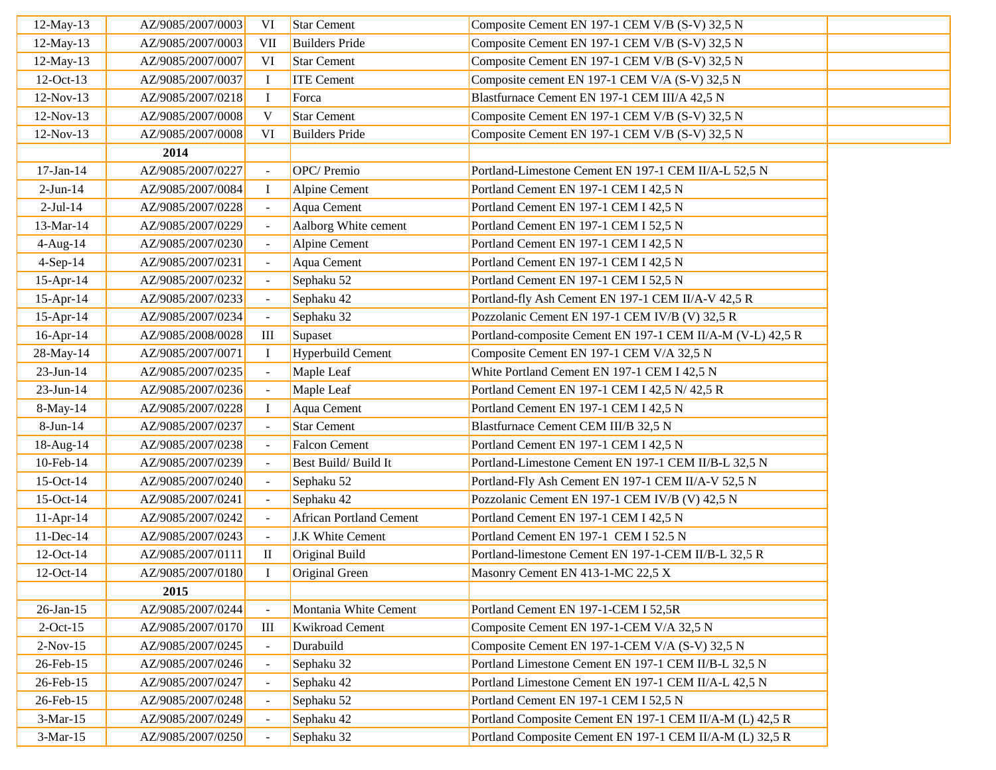| 12-May-13    | AZ/9085/2007/0003 | VI                          | <b>Star Cement</b>             | Composite Cement EN 197-1 CEM V/B (S-V) 32,5 N             |  |
|--------------|-------------------|-----------------------------|--------------------------------|------------------------------------------------------------|--|
| 12-May-13    | AZ/9085/2007/0003 | <b>VII</b>                  | <b>Builders Pride</b>          | Composite Cement EN 197-1 CEM V/B (S-V) 32,5 N             |  |
| 12-May-13    | AZ/9085/2007/0007 | VI                          | <b>Star Cement</b>             | Composite Cement EN 197-1 CEM V/B (S-V) 32,5 N             |  |
| 12-Oct-13    | AZ/9085/2007/0037 | $\bf{I}$                    | <b>ITE Cement</b>              | Composite cement EN 197-1 CEM V/A (S-V) 32,5 N             |  |
| 12-Nov-13    | AZ/9085/2007/0218 | $\bf{I}$                    | Forca                          | Blastfurnace Cement EN 197-1 CEM III/A 42,5 N              |  |
| 12-Nov-13    | AZ/9085/2007/0008 | V                           | <b>Star Cement</b>             | Composite Cement EN 197-1 CEM V/B (S-V) 32,5 N             |  |
| 12-Nov-13    | AZ/9085/2007/0008 | VI                          | <b>Builders Pride</b>          | Composite Cement EN 197-1 CEM V/B (S-V) 32,5 N             |  |
|              | 2014              |                             |                                |                                                            |  |
| 17-Jan-14    | AZ/9085/2007/0227 | $\blacksquare$              | OPC/Premio                     | Portland-Limestone Cement EN 197-1 CEM II/A-L 52,5 N       |  |
| $2-Jun-14$   | AZ/9085/2007/0084 | $\mathbf I$                 | <b>Alpine Cement</b>           | Portland Cement EN 197-1 CEM I 42,5 N                      |  |
| $2-Jul-14$   | AZ/9085/2007/0228 | $\overline{\phantom{a}}$    | Aqua Cement                    | Portland Cement EN 197-1 CEM I 42,5 N                      |  |
| 13-Mar-14    | AZ/9085/2007/0229 | $\omega$                    | Aalborg White cement           | Portland Cement EN 197-1 CEM I 52,5 N                      |  |
| 4-Aug-14     | AZ/9085/2007/0230 | $\overline{\phantom{a}}$    | Alpine Cement                  | Portland Cement EN 197-1 CEM I 42,5 N                      |  |
| $4-Sep-14$   | AZ/9085/2007/0231 | $\omega$                    | Aqua Cement                    | Portland Cement EN 197-1 CEM I 42,5 N                      |  |
| $15$ -Apr-14 | AZ/9085/2007/0232 | $\mathcal{L}_{\mathcal{A}}$ | Sephaku 52                     | Portland Cement EN 197-1 CEM I 52,5 N                      |  |
| 15-Apr-14    | AZ/9085/2007/0233 | $\pm$                       | Sephaku 42                     | Portland-fly Ash Cement EN 197-1 CEM II/A-V 42,5 R         |  |
| 15-Apr-14    | AZ/9085/2007/0234 | $\omega$                    | Sephaku 32                     | Pozzolanic Cement EN 197-1 CEM IV/B (V) 32,5 R             |  |
| 16-Apr-14    | AZ/9085/2008/0028 | III                         | Supaset                        | Portland-composite Cement EN 197-1 CEM II/A-M (V-L) 42,5 R |  |
| 28-May-14    | AZ/9085/2007/0071 | $\bf{I}$                    | <b>Hyperbuild Cement</b>       | Composite Cement EN 197-1 CEM V/A 32,5 N                   |  |
| $23$ -Jun-14 | AZ/9085/2007/0235 | $\sim$                      | Maple Leaf                     | White Portland Cement EN 197-1 CEM I 42,5 N                |  |
| $23-Jun-14$  | AZ/9085/2007/0236 | $\mathcal{L}_{\mathcal{A}}$ | Maple Leaf                     | Portland Cement EN 197-1 CEM I 42,5 N/ 42,5 R              |  |
| 8-May-14     | AZ/9085/2007/0228 | $\bf{I}$                    | Aqua Cement                    | Portland Cement EN 197-1 CEM I 42,5 N                      |  |
| $8-Jun-14$   | AZ/9085/2007/0237 | $\blacksquare$              | <b>Star Cement</b>             | Blastfurnace Cement CEM III/B 32,5 N                       |  |
| 18-Aug-14    | AZ/9085/2007/0238 | $\omega$                    | <b>Falcon Cement</b>           | Portland Cement EN 197-1 CEM I 42,5 N                      |  |
| 10-Feb-14    | AZ/9085/2007/0239 | $\blacksquare$              | Best Build/Build It            | Portland-Limestone Cement EN 197-1 CEM II/B-L 32,5 N       |  |
| 15-Oct-14    | AZ/9085/2007/0240 | $\mathcal{L}_{\mathcal{A}}$ | Sephaku 52                     | Portland-Fly Ash Cement EN 197-1 CEM II/A-V 52,5 N         |  |
| 15-Oct-14    | AZ/9085/2007/0241 | $\sim$                      | Sephaku 42                     | Pozzolanic Cement EN 197-1 CEM IV/B (V) 42,5 N             |  |
| $11-Apr-14$  | AZ/9085/2007/0242 | $\mathcal{L}_{\mathcal{A}}$ | <b>African Portland Cement</b> | Portland Cement EN 197-1 CEM I 42,5 N                      |  |
| 11-Dec-14    | AZ/9085/2007/0243 | $\sim$                      | J.K White Cement               | Portland Cement EN 197-1 CEM I 52.5 N                      |  |
| 12-Oct-14    | AZ/9085/2007/0111 | $\mathop{\rm II}\nolimits$  | Original Build                 | Portland-limestone Cement EN 197-1-CEM II/B-L 32,5 R       |  |
| 12-Oct-14    | AZ/9085/2007/0180 | $\mathbf I$                 | Original Green                 | Masonry Cement EN 413-1-MC 22,5 X                          |  |
|              | 2015              |                             |                                |                                                            |  |
| $26$ -Jan-15 | AZ/9085/2007/0244 | $\blacksquare$              | Montania White Cement          | Portland Cement EN 197-1-CEM I 52,5R                       |  |
| $2$ -Oct-15  | AZ/9085/2007/0170 | III                         | <b>Kwikroad Cement</b>         | Composite Cement EN 197-1-CEM V/A 32,5 N                   |  |
| $2-Nov-15$   | AZ/9085/2007/0245 | $\blacksquare$              | Durabuild                      | Composite Cement EN 197-1-CEM V/A (S-V) 32,5 N             |  |
| 26-Feb-15    | AZ/9085/2007/0246 | $\mathcal{L}_{\mathcal{A}}$ | Sephaku 32                     | Portland Limestone Cement EN 197-1 CEM II/B-L 32,5 N       |  |
| 26-Feb-15    | AZ/9085/2007/0247 | $\blacksquare$              | Sephaku 42                     | Portland Limestone Cement EN 197-1 CEM II/A-L 42,5 N       |  |
| 26-Feb-15    | AZ/9085/2007/0248 | $\sim$                      | Sephaku 52                     | Portland Cement EN 197-1 CEM I 52,5 N                      |  |
| $3-Mar-15$   | AZ/9085/2007/0249 | $\blacksquare$              | Sephaku 42                     | Portland Composite Cement EN 197-1 CEM II/A-M (L) 42,5 R   |  |
| $3-Mar-15$   | AZ/9085/2007/0250 | $\blacksquare$              | Sephaku 32                     | Portland Composite Cement EN 197-1 CEM II/A-M (L) 32,5 R   |  |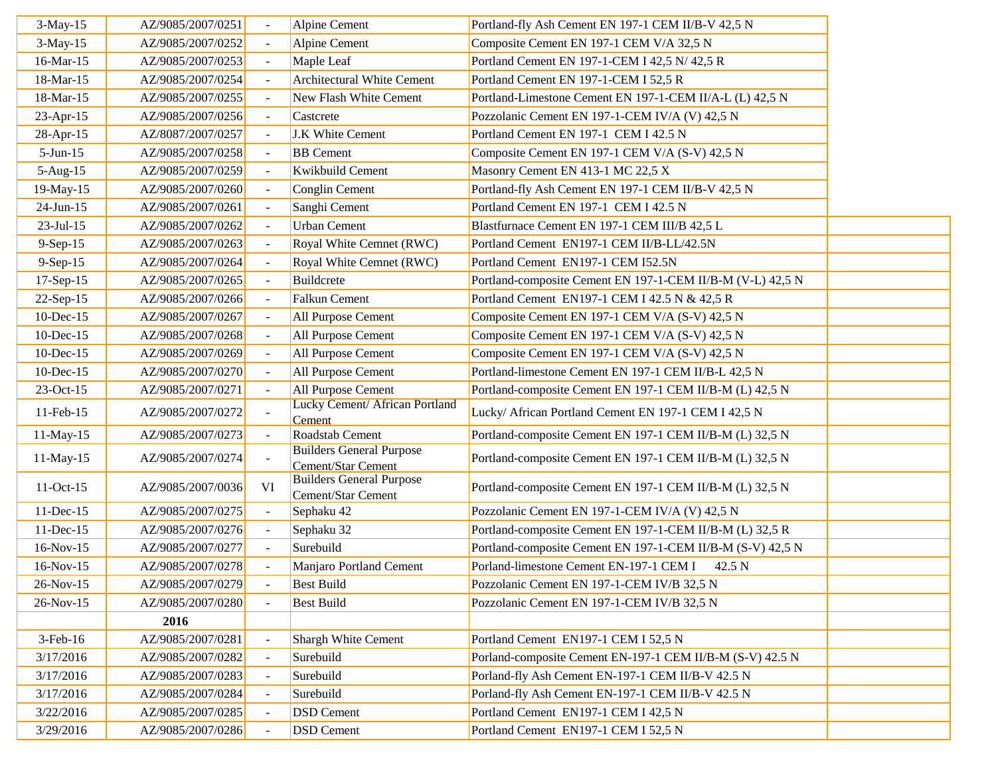| $3-May-15$      | AZ/9085/2007/0251 |    | Alpine Cement                                         | Portland-fly Ash Cement EN 197-1 CEM II/B-V 42,5 N         |
|-----------------|-------------------|----|-------------------------------------------------------|------------------------------------------------------------|
| $3-May-15$      | AZ/9085/2007/0252 |    | Alpine Cement                                         | Composite Cement EN 197-1 CEM V/A 32,5 N                   |
| 16-Mar-15       | AZ/9085/2007/0253 |    | Maple Leaf                                            | Portland Cement EN 197-1-CEM I 42,5 N/42,5 R               |
| 18-Mar-15       | AZ/9085/2007/0254 |    | <b>Architectural White Cement</b>                     | Portland Cement EN 197-1-CEM I 52,5 R                      |
| 18-Mar-15       | AZ/9085/2007/0255 |    | New Flash White Cement                                | Portland-Limestone Cement EN 197-1-CEM II/A-L (L) 42,5 N   |
| 23-Apr-15       | AZ/9085/2007/0256 |    | Castcrete                                             | Pozzolanic Cement EN 197-1-CEM IV/A (V) 42,5 N             |
| 28-Apr-15       | AZ/8087/2007/0257 |    | J.K White Cement                                      | Portland Cement EN 197-1 CEM I 42.5 N                      |
| $5-Jun-15$      | AZ/9085/2007/0258 |    | <b>BB</b> Cement                                      | Composite Cement EN 197-1 CEM V/A (S-V) 42,5 N             |
| $5-Aug-15$      | AZ/9085/2007/0259 |    | Kwikbuild Cement                                      | Masonry Cement EN 413-1 MC 22,5 X                          |
| 19-May-15       | AZ/9085/2007/0260 |    | Conglin Cement                                        | Portland-fly Ash Cement EN 197-1 CEM II/B-V 42,5 N         |
| $24$ -Jun-15    | AZ/9085/2007/0261 |    | Sanghi Cement                                         | Portland Cement EN 197-1 CEM I 42.5 N                      |
| $23$ -Jul-15    | AZ/9085/2007/0262 |    | <b>Urban Cement</b>                                   | Blastfurnace Cement EN 197-1 CEM III/B 42,5 L              |
| $9-Sep-15$      | AZ/9085/2007/0263 |    | Royal White Cemnet (RWC)                              | Portland Cement EN197-1 CEM II/B-LL/42.5N                  |
| $9-Sep-15$      | AZ/9085/2007/0264 |    | Royal White Cemnet (RWC)                              | Portland Cement EN197-1 CEM I52.5N                         |
| 17-Sep-15       | AZ/9085/2007/0265 |    | Buildcrete                                            | Portland-composite Cement EN 197-1-CEM II/B-M (V-L) 42,5 N |
| 22-Sep-15       | AZ/9085/2007/0266 |    | <b>Falkun Cement</b>                                  | Portland Cement EN197-1 CEM I 42.5 N & 42,5 R              |
| 10-Dec-15       | AZ/9085/2007/0267 |    | All Purpose Cement                                    | Composite Cement EN 197-1 CEM V/A (S-V) 42,5 N             |
| 10-Dec-15       | AZ/9085/2007/0268 |    | All Purpose Cement                                    | Composite Cement EN 197-1 CEM V/A (S-V) 42,5 N             |
| $10$ -Dec- $15$ | AZ/9085/2007/0269 |    | All Purpose Cement                                    | Composite Cement EN 197-1 CEM V/A (S-V) 42,5 N             |
| $10$ -Dec- $15$ | AZ/9085/2007/0270 |    | All Purpose Cement                                    | Portland-limestone Cement EN 197-1 CEM II/B-L 42,5 N       |
| 23-Oct-15       | AZ/9085/2007/0271 |    | All Purpose Cement                                    | Portland-composite Cement EN 197-1 CEM II/B-M (L) 42,5 N   |
| 11-Feb-15       | AZ/9085/2007/0272 |    | Lucky Cement/ African Portland<br>Cement              | Lucky/ African Portland Cement EN 197-1 CEM I 42,5 N       |
| 11-May-15       | AZ/9085/2007/0273 |    | Roadstab Cement                                       | Portland-composite Cement EN 197-1 CEM II/B-M (L) 32,5 N   |
| $11$ -May-15    | AZ/9085/2007/0274 |    | <b>Builders General Purpose</b><br>Cement/Star Cement | Portland-composite Cement EN 197-1 CEM II/B-M (L) 32,5 N   |
| $11-Oct-15$     | AZ/9085/2007/0036 | VI | <b>Builders General Purpose</b><br>Cement/Star Cement | Portland-composite Cement EN 197-1 CEM II/B-M (L) 32,5 N   |
| 11-Dec-15       | AZ/9085/2007/0275 |    | Sephaku 42                                            | Pozzolanic Cement EN 197-1-CEM IV/A (V) 42,5 N             |
| 11-Dec-15       | AZ/9085/2007/0276 |    | Sephaku 32                                            | Portland-composite Cement EN 197-1-CEM II/B-M (L) 32,5 R   |
| $16-Nov-15$     | AZ/9085/2007/0277 |    | Surebuild                                             | Portland-composite Cement EN 197-1-CEM II/B-M (S-V) 42,5 N |
| $16-Nov-15$     | AZ/9085/2007/0278 |    | Manjaro Portland Cement                               | Porland-limestone Cement EN-197-1 CEM I<br>42.5 N          |
| 26-Nov-15       | AZ/9085/2007/0279 |    | <b>Best Build</b>                                     | Pozzolanic Cement EN 197-1-CEM IV/B 32,5 N                 |
| 26-Nov-15       | AZ/9085/2007/0280 |    | <b>Best Build</b>                                     | Pozzolanic Cement EN 197-1-CEM IV/B 32,5 N                 |
|                 | 2016              |    |                                                       |                                                            |
| $3$ -Feb- $16$  | AZ/9085/2007/0281 |    | Shargh White Cement                                   | Portland Cement EN197-1 CEM I 52,5 N                       |
| 3/17/2016       | AZ/9085/2007/0282 |    | Surebuild                                             | Porland-composite Cement EN-197-1 CEM II/B-M (S-V) 42.5 N  |
| 3/17/2016       | AZ/9085/2007/0283 |    | Surebuild                                             | Porland-fly Ash Cement EN-197-1 CEM II/B-V 42.5 N          |
| 3/17/2016       | AZ/9085/2007/0284 |    | Surebuild                                             | Porland-fly Ash Cement EN-197-1 CEM II/B-V 42.5 N          |
| 3/22/2016       | AZ/9085/2007/0285 |    | <b>DSD</b> Cement                                     | Portland Cement EN197-1 CEM I 42,5 N                       |
| 3/29/2016       | AZ/9085/2007/0286 |    | <b>DSD</b> Cement                                     | Portland Cement EN197-1 CEM I 52,5 N                       |
|                 |                   |    |                                                       |                                                            |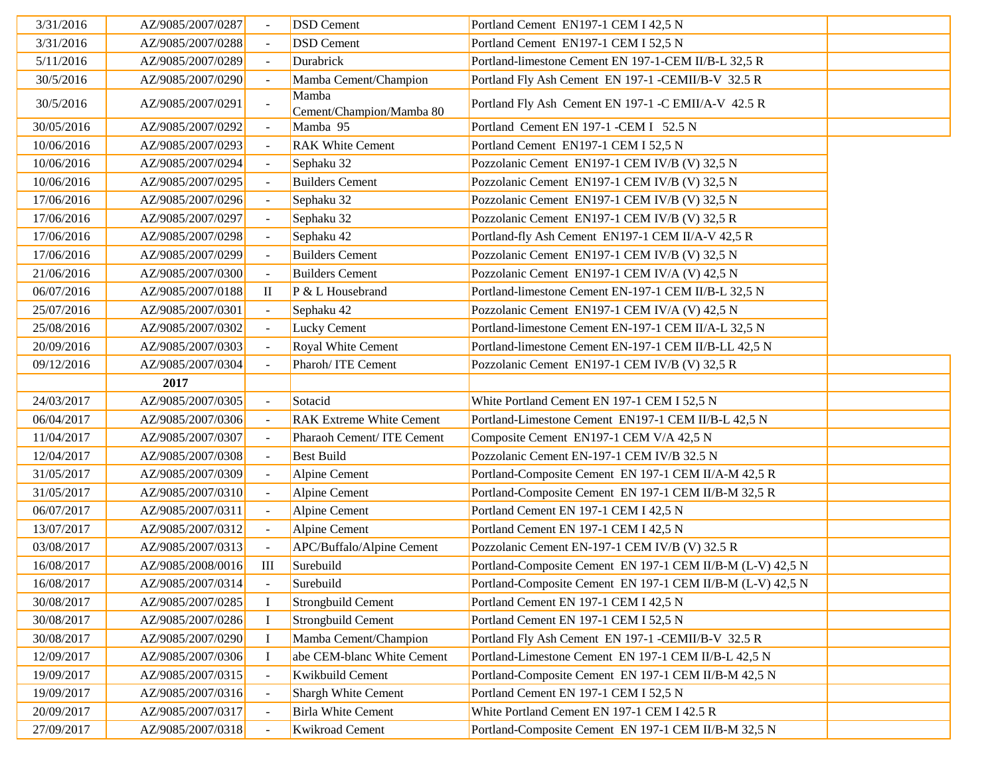| 3/31/2016  | AZ/9085/2007/0287 |              | <b>DSD</b> Cement                 | Portland Cement EN197-1 CEM I 42,5 N                       |  |
|------------|-------------------|--------------|-----------------------------------|------------------------------------------------------------|--|
| 3/31/2016  | AZ/9085/2007/0288 |              | <b>DSD</b> Cement                 | Portland Cement EN197-1 CEM I 52,5 N                       |  |
| 5/11/2016  | AZ/9085/2007/0289 |              | Durabrick                         | Portland-limestone Cement EN 197-1-CEM II/B-L 32,5 R       |  |
| 30/5/2016  | AZ/9085/2007/0290 |              | Mamba Cement/Champion             | Portland Fly Ash Cement EN 197-1 -CEMII/B-V 32.5 R         |  |
| 30/5/2016  | AZ/9085/2007/0291 |              | Mamba<br>Cement/Champion/Mamba 80 | Portland Fly Ash Cement EN 197-1 -C EMII/A-V 42.5 R        |  |
| 30/05/2016 | AZ/9085/2007/0292 |              | Mamba 95                          | Portland Cement EN 197-1 -CEM I 52.5 N                     |  |
| 10/06/2016 | AZ/9085/2007/0293 |              | <b>RAK White Cement</b>           | Portland Cement EN197-1 CEM I 52,5 N                       |  |
| 10/06/2016 | AZ/9085/2007/0294 |              | Sephaku 32                        | Pozzolanic Cement EN197-1 CEM IV/B (V) 32,5 N              |  |
| 10/06/2016 | AZ/9085/2007/0295 |              | <b>Builders Cement</b>            | Pozzolanic Cement EN197-1 CEM IV/B (V) 32,5 N              |  |
| 17/06/2016 | AZ/9085/2007/0296 |              | Sephaku 32                        | Pozzolanic Cement EN197-1 CEM IV/B (V) 32,5 N              |  |
| 17/06/2016 | AZ/9085/2007/0297 | $\mathbf{r}$ | Sephaku 32                        | Pozzolanic Cement EN197-1 CEM IV/B (V) 32,5 R              |  |
| 17/06/2016 | AZ/9085/2007/0298 |              | Sephaku 42                        | Portland-fly Ash Cement EN197-1 CEM II/A-V 42,5 R          |  |
| 17/06/2016 | AZ/9085/2007/0299 |              | <b>Builders Cement</b>            | Pozzolanic Cement EN197-1 CEM IV/B (V) 32,5 N              |  |
| 21/06/2016 | AZ/9085/2007/0300 |              | <b>Builders Cement</b>            | Pozzolanic Cement EN197-1 CEM IV/A (V) 42,5 N              |  |
| 06/07/2016 | AZ/9085/2007/0188 | $\mathbf{I}$ | $P$ & L Housebrand                | Portland-limestone Cement EN-197-1 CEM II/B-L 32,5 N       |  |
| 25/07/2016 | AZ/9085/2007/0301 |              | Sephaku 42                        | Pozzolanic Cement EN197-1 CEM IV/A (V) 42,5 N              |  |
| 25/08/2016 | AZ/9085/2007/0302 |              | <b>Lucky Cement</b>               | Portland-limestone Cement EN-197-1 CEM II/A-L 32,5 N       |  |
| 20/09/2016 | AZ/9085/2007/0303 |              | Royal White Cement                | Portland-limestone Cement EN-197-1 CEM II/B-LL 42,5 N      |  |
| 09/12/2016 | AZ/9085/2007/0304 |              | Pharoh/ITE Cement                 | Pozzolanic Cement EN197-1 CEM IV/B (V) 32,5 R              |  |
|            | 2017              |              |                                   |                                                            |  |
| 24/03/2017 | AZ/9085/2007/0305 |              | Sotacid                           | White Portland Cement EN 197-1 CEM I 52,5 N                |  |
| 06/04/2017 | AZ/9085/2007/0306 |              | <b>RAK Extreme White Cement</b>   | Portland-Limestone Cement EN197-1 CEM II/B-L 42,5 N        |  |
| 11/04/2017 | AZ/9085/2007/0307 |              | Pharaoh Cement/ ITE Cement        | Composite Cement EN197-1 CEM V/A 42,5 N                    |  |
| 12/04/2017 | AZ/9085/2007/0308 | $\sim$       | <b>Best Build</b>                 | Pozzolanic Cement EN-197-1 CEM IV/B 32.5 N                 |  |
| 31/05/2017 | AZ/9085/2007/0309 |              | Alpine Cement                     | Portland-Composite Cement EN 197-1 CEM II/A-M 42,5 R       |  |
| 31/05/2017 | AZ/9085/2007/0310 |              | Alpine Cement                     | Portland-Composite Cement EN 197-1 CEM II/B-M 32,5 R       |  |
| 06/07/2017 | AZ/9085/2007/0311 |              | Alpine Cement                     | Portland Cement EN 197-1 CEM I 42,5 N                      |  |
| 13/07/2017 | AZ/9085/2007/0312 |              | Alpine Cement                     | Portland Cement EN 197-1 CEM I 42,5 N                      |  |
| 03/08/2017 | AZ/9085/2007/0313 |              | APC/Buffalo/Alpine Cement         | Pozzolanic Cement EN-197-1 CEM IV/B (V) 32.5 R             |  |
| 16/08/2017 | AZ/9085/2008/0016 | $\rm III$    | Surebuild                         | Portland-Composite Cement EN 197-1 CEM II/B-M (L-V) 42,5 N |  |
| 16/08/2017 | AZ/9085/2007/0314 |              | Surebuild                         | Portland-Composite Cement EN 197-1 CEM II/B-M (L-V) 42,5 N |  |
| 30/08/2017 | AZ/9085/2007/0285 | $\bf{I}$     | Strongbuild Cement                | Portland Cement EN 197-1 CEM I 42,5 N                      |  |
| 30/08/2017 | AZ/9085/2007/0286 |              | Strongbuild Cement                | Portland Cement EN 197-1 CEM I 52,5 N                      |  |
| 30/08/2017 | AZ/9085/2007/0290 |              | Mamba Cement/Champion             | Portland Fly Ash Cement EN 197-1 -CEMII/B-V 32.5 R         |  |
| 12/09/2017 | AZ/9085/2007/0306 | I            | abe CEM-blanc White Cement        | Portland-Limestone Cement EN 197-1 CEM II/B-L 42,5 N       |  |
| 19/09/2017 | AZ/9085/2007/0315 |              | Kwikbuild Cement                  | Portland-Composite Cement EN 197-1 CEM II/B-M 42,5 N       |  |
| 19/09/2017 | AZ/9085/2007/0316 |              | Shargh White Cement               | Portland Cement EN 197-1 CEM I 52,5 N                      |  |
| 20/09/2017 | AZ/9085/2007/0317 |              | <b>Birla White Cement</b>         | White Portland Cement EN 197-1 CEM I 42.5 R                |  |
| 27/09/2017 | AZ/9085/2007/0318 |              | <b>Kwikroad Cement</b>            | Portland-Composite Cement EN 197-1 CEM II/B-M 32,5 N       |  |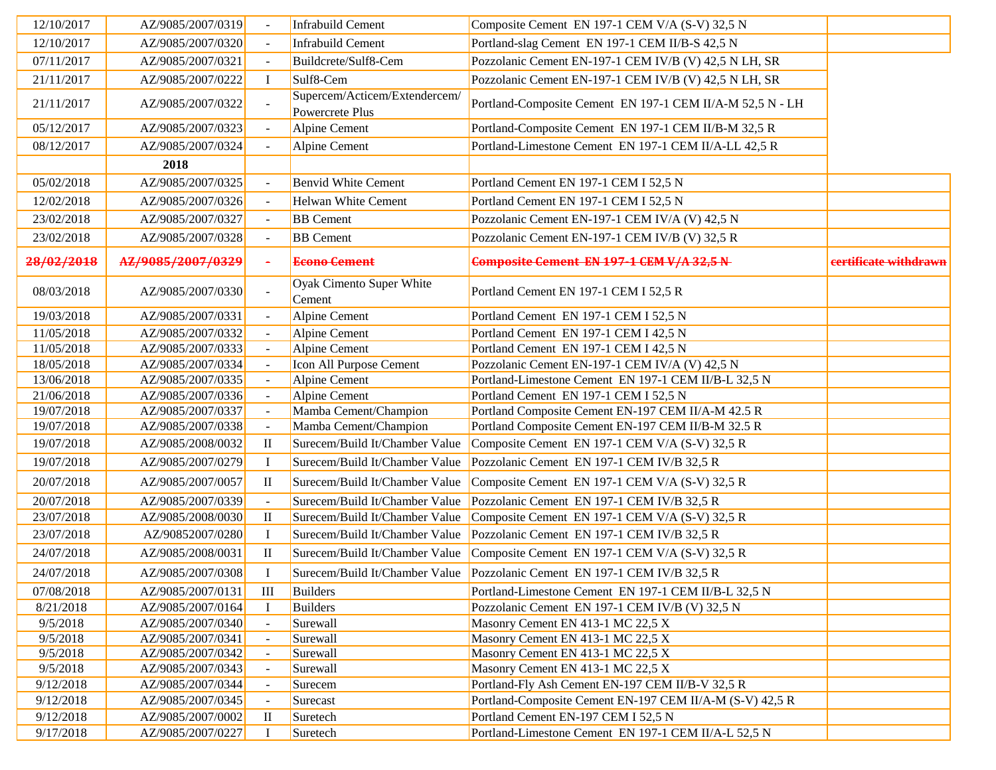| 12/10/2017 | AZ/9085/2007/0319 |                | Infrabuild Cement                                | Composite Cement EN 197-1 CEM V/A (S-V) 32,5 N                            |                       |
|------------|-------------------|----------------|--------------------------------------------------|---------------------------------------------------------------------------|-----------------------|
| 12/10/2017 | AZ/9085/2007/0320 |                | Infrabuild Cement                                | Portland-slag Cement EN 197-1 CEM II/B-S 42,5 N                           |                       |
| 07/11/2017 | AZ/9085/2007/0321 |                | Buildcrete/Sulf8-Cem                             | Pozzolanic Cement EN-197-1 CEM IV/B (V) 42,5 N LH, SR                     |                       |
| 21/11/2017 | AZ/9085/2007/0222 | $\bf{I}$       | Sulf8-Cem                                        | Pozzolanic Cement EN-197-1 CEM IV/B (V) 42,5 N LH, SR                     |                       |
| 21/11/2017 | AZ/9085/2007/0322 |                | Supercem/Acticem/Extendercem/<br>Powercrete Plus | Portland-Composite Cement EN 197-1 CEM II/A-M 52,5 N - LH                 |                       |
| 05/12/2017 | AZ/9085/2007/0323 |                | Alpine Cement                                    | Portland-Composite Cement EN 197-1 CEM II/B-M 32,5 R                      |                       |
| 08/12/2017 | AZ/9085/2007/0324 |                | Alpine Cement                                    | Portland-Limestone Cement EN 197-1 CEM II/A-LL 42,5 R                     |                       |
|            | 2018              |                |                                                  |                                                                           |                       |
| 05/02/2018 | AZ/9085/2007/0325 |                | <b>Benvid White Cement</b>                       | Portland Cement EN 197-1 CEM I 52,5 N                                     |                       |
| 12/02/2018 | AZ/9085/2007/0326 |                | <b>Helwan White Cement</b>                       | Portland Cement EN 197-1 CEM I 52,5 N                                     |                       |
| 23/02/2018 | AZ/9085/2007/0327 |                | <b>BB</b> Cement                                 | Pozzolanic Cement EN-197-1 CEM IV/A (V) 42,5 N                            |                       |
| 23/02/2018 | AZ/9085/2007/0328 | $\sim$         | <b>BB</b> Cement                                 | Pozzolanic Cement EN-197-1 CEM IV/B (V) 32,5 R                            |                       |
| 28/02/2018 | AZ/9085/2007/0329 | $\blacksquare$ | <b>Econo</b> Cement                              | Composite Cement EN 197-1 CEM V/A 32,5 N                                  | eertificate withdrawn |
| 08/03/2018 | AZ/9085/2007/0330 |                | Oyak Cimento Super White<br>Cement               | Portland Cement EN 197-1 CEM I 52,5 R                                     |                       |
| 19/03/2018 | AZ/9085/2007/0331 |                | Alpine Cement                                    | Portland Cement EN 197-1 CEM I 52,5 N                                     |                       |
| 11/05/2018 | AZ/9085/2007/0332 | $\sim$         | Alpine Cement                                    | Portland Cement EN 197-1 CEM I 42,5 N                                     |                       |
| 11/05/2018 | AZ/9085/2007/0333 | $\blacksquare$ | Alpine Cement                                    | Portland Cement EN 197-1 CEM I 42,5 N                                     |                       |
| 18/05/2018 | AZ/9085/2007/0334 |                | Icon All Purpose Cement                          | Pozzolanic Cement EN-197-1 CEM IV/A (V) 42,5 N                            |                       |
| 13/06/2018 | AZ/9085/2007/0335 |                | Alpine Cement                                    | Portland-Limestone Cement EN 197-1 CEM II/B-L 32,5 N                      |                       |
| 21/06/2018 | AZ/9085/2007/0336 |                | Alpine Cement                                    | Portland Cement EN 197-1 CEM I 52,5 N                                     |                       |
| 19/07/2018 | AZ/9085/2007/0337 |                | Mamba Cement/Champion                            | Portland Composite Cement EN-197 CEM II/A-M 42.5 R                        |                       |
| 19/07/2018 | AZ/9085/2007/0338 |                | Mamba Cement/Champion                            | Portland Composite Cement EN-197 CEM II/B-M 32.5 R                        |                       |
| 19/07/2018 | AZ/9085/2008/0032 | $\mathbf{I}$   | Surecem/Build It/Chamber Value                   | Composite Cement EN 197-1 CEM V/A (S-V) 32,5 R                            |                       |
| 19/07/2018 | AZ/9085/2007/0279 | Ι.             | Surecem/Build It/Chamber Value                   | Pozzolanic Cement EN 197-1 CEM IV/B 32,5 R                                |                       |
| 20/07/2018 | AZ/9085/2007/0057 | $\rm II$       | Surecem/Build It/Chamber Value                   | Composite Cement EN 197-1 CEM V/A (S-V) 32,5 R                            |                       |
| 20/07/2018 | AZ/9085/2007/0339 |                | Surecem/Build It/Chamber Value                   | Pozzolanic Cement EN 197-1 CEM IV/B 32,5 R                                |                       |
| 23/07/2018 | AZ/9085/2008/0030 | $\rm II$       | Surecem/Build It/Chamber Value                   | Composite Cement EN 197-1 CEM V/A (S-V) 32,5 R                            |                       |
| 23/07/2018 | AZ/90852007/0280  | $\bf{I}$       | Surecem/Build It/Chamber Value                   | Pozzolanic Cement EN 197-1 CEM IV/B 32,5 R                                |                       |
| 24/07/2018 | AZ/9085/2008/0031 | $\mathbf{I}$   | Surecem/Build It/Chamber Value                   | Composite Cement EN 197-1 CEM V/A (S-V) 32,5 R                            |                       |
| 24/07/2018 | AZ/9085/2007/0308 | $\mathbf I$    |                                                  | Surecem/Build It/Chamber Value Pozzolanic Cement EN 197-1 CEM IV/B 32,5 R |                       |
| 07/08/2018 | AZ/9085/2007/0131 | Ш              | Builders                                         | Portland-Limestone Cement EN 197-1 CEM II/B-L 32,5 N                      |                       |
| 8/21/2018  | AZ/9085/2007/0164 |                | <b>Builders</b>                                  | Pozzolanic Cement EN 197-1 CEM IV/B (V) 32,5 N                            |                       |
| 9/5/2018   | AZ/9085/2007/0340 |                | Surewall                                         | Masonry Cement EN 413-1 MC 22,5 X                                         |                       |
| 9/5/2018   | AZ/9085/2007/0341 |                | Surewall                                         | Masonry Cement EN 413-1 MC 22,5 X                                         |                       |
| 9/5/2018   | AZ/9085/2007/0342 |                | Surewall                                         | Masonry Cement EN 413-1 MC 22,5 X                                         |                       |
| 9/5/2018   | AZ/9085/2007/0343 |                | Surewall                                         | Masonry Cement EN 413-1 MC 22,5 X                                         |                       |
| 9/12/2018  | AZ/9085/2007/0344 |                | Surecem                                          | Portland-Fly Ash Cement EN-197 CEM II/B-V 32,5 R                          |                       |
| 9/12/2018  | AZ/9085/2007/0345 |                | Surecast                                         | Portland-Composite Cement EN-197 CEM II/A-M (S-V) 42,5 R                  |                       |
| 9/12/2018  | AZ/9085/2007/0002 | П              | Suretech                                         | Portland Cement EN-197 CEM I 52,5 N                                       |                       |
| 9/17/2018  | AZ/9085/2007/0227 |                | Suretech                                         | Portland-Limestone Cement EN 197-1 CEM II/A-L 52,5 N                      |                       |